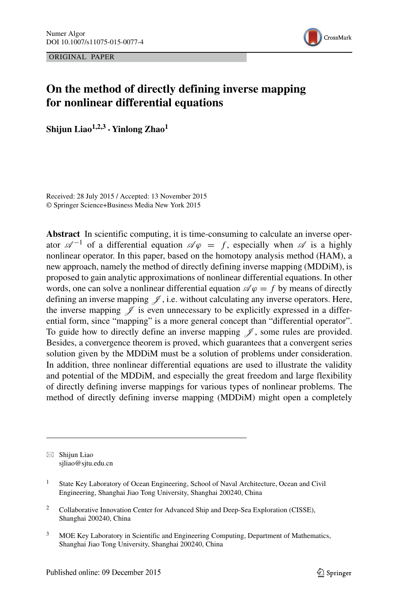ORIGINAL PAPER



# **On the method of directly defining inverse mapping for nonlinear differential equations**

**Shijun Liao1,2,3 · Yinlong Zhao1**

Received: 28 July 2015 / Accepted: 13 November 2015 © Springer Science+Business Media New York 2015

**Abstract** In scientific computing, it is time-consuming to calculate an inverse operator  $\mathscr{A}^{-1}$  of a differential equation  $\mathscr{A}\varphi = f$ , especially when  $\mathscr{A}$  is a highly nonlinear operator. In this paper, based on the homotopy analysis method (HAM), a new approach, namely the method of directly defining inverse mapping (MDDiM), is proposed to gain analytic approximations of nonlinear differential equations. In other words, one can solve a nonlinear differential equation  $\mathcal{A} \varphi = f$  by means of directly defining an inverse mapping  $\mathscr{J}$ , i.e. without calculating any inverse operators. Here, the inverse mapping  $\mathscr J$  is even unnecessary to be explicitly expressed in a differential form, since "mapping" is a more general concept than "differential operator". To guide how to directly define an inverse mapping  $\mathscr{J}$ , some rules are provided. Besides, a convergence theorem is proved, which guarantees that a convergent series solution given by the MDDiM must be a solution of problems under consideration. In addition, three nonlinear differential equations are used to illustrate the validity and potential of the MDDiM, and especially the great freedom and large flexibility of directly defining inverse mappings for various types of nonlinear problems. The method of directly defining inverse mapping (MDDiM) might open a completely

 $\boxtimes$  Shijun Liao [sjliao@sjtu.edu.cn](mailto:sjliao@sjtu.edu.cn)

<sup>3</sup> MOE Key Laboratory in Scientific and Engineering Computing, Department of Mathematics, Shanghai Jiao Tong University, Shanghai 200240, China

<sup>&</sup>lt;sup>1</sup> State Key Laboratory of Ocean Engineering, School of Naval Architecture, Ocean and Civil Engineering, Shanghai Jiao Tong University, Shanghai 200240, China

<sup>&</sup>lt;sup>2</sup> Collaborative Innovation Center for Advanced Ship and Deep-Sea Exploration (CISSE), Shanghai 200240, China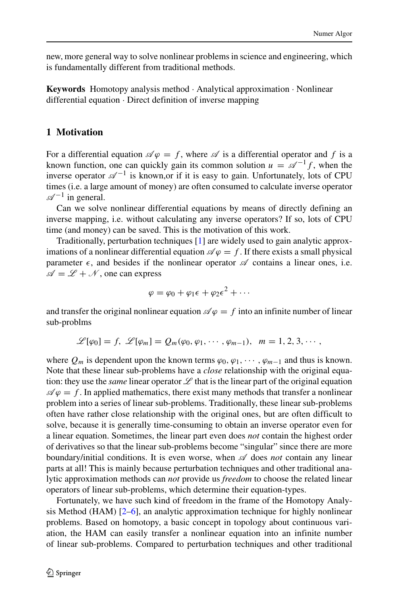new, more general way to solve nonlinear problems in science and engineering, which is fundamentally different from traditional methods.

**Keywords** Homotopy analysis method · Analytical approximation · Nonlinear differential equation · Direct definition of inverse mapping

### **1 Motivation**

For a differential equation  $\mathscr{A}\varphi = f$ , where  $\mathscr A$  is a differential operator and f is a known function, one can quickly gain its common solution  $u = \mathcal{A}^{-1}f$ , when the inverse operator  $\mathscr{A}^{-1}$  is known, or if it is easy to gain. Unfortunately, lots of CPU times (i.e. a large amount of money) are often consumed to calculate inverse operator  $\mathscr{A}^{-1}$  in general.

Can we solve nonlinear differential equations by means of directly defining an inverse mapping, i.e. without calculating any inverse operators? If so, lots of CPU time (and money) can be saved. This is the motivation of this work.

Traditionally, perturbation techniques [\[1\]](#page-30-0) are widely used to gain analytic approximations of a nonlinear differential equation  $\mathcal{A} \varphi = f$ . If there exists a small physical parameter  $\epsilon$ , and besides if the nonlinear operator  $\mathscr A$  contains a linear ones, i.e.  $\mathscr{A} = \mathscr{L} + \mathscr{N}$ , one can express

$$
\varphi = \varphi_0 + \varphi_1 \epsilon + \varphi_2 \epsilon^2 + \cdots
$$

and transfer the original nonlinear equation  $\mathscr{A} \varphi = f$  into an infinite number of linear sub-problms

$$
\mathscr{L}[\varphi_0]=f,\ \mathscr{L}[\varphi_m]=Q_m(\varphi_0,\varphi_1,\cdots,\varphi_{m-1}),\ \ m=1,2,3,\cdots,
$$

where  $Q_m$  is dependent upon the known terms  $\varphi_0, \varphi_1, \cdots, \varphi_{m-1}$  and thus is known. Note that these linear sub-problems have a *close* relationship with the original equation: they use the *same* linear operator  $\mathscr L$  that is the linear part of the original equation  $\mathcal{A} \varphi = f$ . In applied mathematics, there exist many methods that transfer a nonlinear problem into a series of linear sub-problems. Traditionally, these linear sub-problems often have rather close relationship with the original ones, but are often difficult to solve, because it is generally time-consuming to obtain an inverse operator even for a linear equation. Sometimes, the linear part even does *not* contain the highest order of derivatives so that the linear sub-problems become "singular" since there are more boundary/initial conditions. It is even worse, when  $\mathscr A$  does *not* contain any linear parts at all! This is mainly because perturbation techniques and other traditional analytic approximation methods can *not* provide us *freedom* to choose the related linear operators of linear sub-problems, which determine their equation-types.

Fortunately, we have such kind of freedom in the frame of the Homotopy Analysis Method (HAM)  $[2-6]$  $[2-6]$ , an analytic approximation technique for highly nonlinear problems. Based on homotopy, a basic concept in topology about continuous variation, the HAM can easily transfer a nonlinear equation into an infinite number of linear sub-problems. Compared to perturbation techniques and other traditional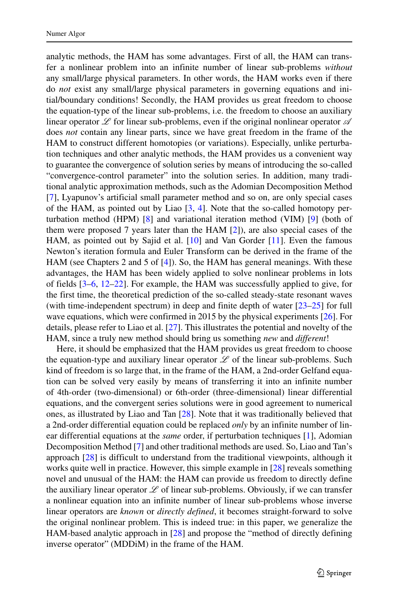analytic methods, the HAM has some advantages. First of all, the HAM can transfer a nonlinear problem into an infinite number of linear sub-problems *without* any small/large physical parameters. In other words, the HAM works even if there do *not* exist any small/large physical parameters in governing equations and initial/boundary conditions! Secondly, the HAM provides us great freedom to choose the equation-type of the linear sub-problems, i.e. the freedom to choose an auxiliary linear operator  $\mathscr L$  for linear sub-problems, even if the original nonlinear operator  $\mathscr A$ does *not* contain any linear parts, since we have great freedom in the frame of the HAM to construct different homotopies (or variations). Especially, unlike perturbation techniques and other analytic methods, the HAM provides us a convenient way to guarantee the convergence of solution series by means of introducing the so-called "convergence-control parameter" into the solution series. In addition, many traditional analytic approximation methods, such as the Adomian Decomposition Method [\[7\]](#page-30-3), Lyapunov's artificial small parameter method and so on, are only special cases of the HAM, as pointed out by Liao [\[3,](#page-30-4) [4\]](#page-30-5). Note that the so-called homotopy perturbation method (HPM) [\[8\]](#page-30-6) and variational iteration method (VIM) [\[9\]](#page-30-7) (both of them were proposed 7 years later than the HAM [\[2\]](#page-30-1)), are also special cases of the HAM, as pointed out by Sajid et al. [\[10\]](#page-30-8) and Van Gorder [\[11\]](#page-30-9). Even the famous Newton's iteration formula and Euler Transform can be derived in the frame of the HAM (see Chapters 2 and 5 of [\[4\]](#page-30-5)). So, the HAM has general meanings. With these advantages, the HAM has been widely applied to solve nonlinear problems in lots of fields [\[3–](#page-30-4)[6,](#page-30-2) [12–](#page-30-10)[22\]](#page-31-0). For example, the HAM was successfully applied to give, for the first time, the theoretical prediction of the so-called steady-state resonant waves (with time-independent spectrum) in deep and finite depth of water [\[23–](#page-31-1)[25\]](#page-31-2) for full wave equations, which were confirmed in 2015 by the physical experiments [\[26\]](#page-31-3). For details, please refer to Liao et al. [\[27\]](#page-31-4). This illustrates the potential and novelty of the HAM, since a truly new method should bring us something *new* and *different*!

Here, it should be emphasized that the HAM provides us great freedom to choose the equation-type and auxiliary linear operator  $\mathscr L$  of the linear sub-problems. Such kind of freedom is so large that, in the frame of the HAM, a 2nd-order Gelfand equation can be solved very easily by means of transferring it into an infinite number of 4th-order (two-dimensional) or 6th-order (three-dimensional) linear differential equations, and the convergent series solutions were in good agreement to numerical ones, as illustrated by Liao and Tan [\[28\]](#page-31-5). Note that it was traditionally believed that a 2nd-order differential equation could be replaced *only* by an infinite number of linear differential equations at the *same* order, if perturbation techniques [\[1\]](#page-30-0), Adomian Decomposition Method [\[7\]](#page-30-3) and other traditional methods are used. So, Liao and Tan's approach [\[28\]](#page-31-5) is difficult to understand from the traditional viewpoints, although it works quite well in practice. However, this simple example in [\[28\]](#page-31-5) reveals something novel and unusual of the HAM: the HAM can provide us freedom to directly define the auxiliary linear operator  $\mathscr L$  of linear sub-problems. Obviously, if we can transfer a nonlinear equation into an infinite number of linear sub-problems whose inverse linear operators are *known* or *directly defined*, it becomes straight-forward to solve the original nonlinear problem. This is indeed true: in this paper, we generalize the HAM-based analytic approach in [\[28\]](#page-31-5) and propose the "method of directly defining inverse operator" (MDDiM) in the frame of the HAM.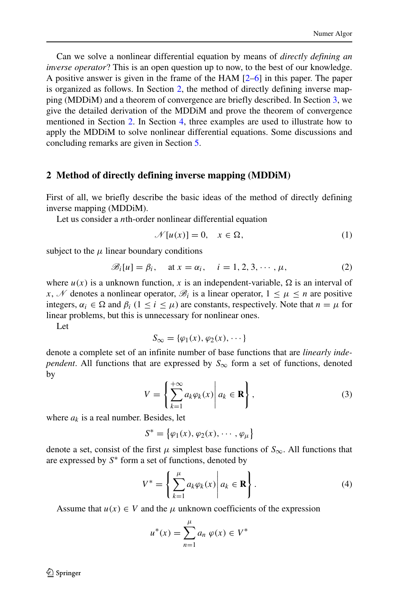Can we solve a nonlinear differential equation by means of *directly defining an inverse operator*? This is an open question up to now, to the best of our knowledge. A positive answer is given in the frame of the HAM [\[2–](#page-30-1)[6\]](#page-30-2) in this paper. The paper is organized as follows. In Section [2,](#page-3-0) the method of directly defining inverse mapping (MDDiM) and a theorem of convergence are briefly described. In Section [3,](#page-6-0) we give the detailed derivation of the MDDiM and prove the theorem of convergence mentioned in Section [2.](#page-3-0) In Section [4,](#page-13-0) three examples are used to illustrate how to apply the MDDiM to solve nonlinear differential equations. Some discussions and concluding remarks are given in Section [5.](#page-27-0)

### <span id="page-3-0"></span>**2 Method of directly defining inverse mapping (MDDiM)**

First of all, we briefly describe the basic ideas of the method of directly defining inverse mapping (MDDiM).

Let us consider a *n*th-order nonlinear differential equation

<span id="page-3-3"></span>
$$
\mathcal{N}[u(x)] = 0, \quad x \in \Omega,\tag{1}
$$

subject to the  $\mu$  linear boundary conditions

<span id="page-3-1"></span>
$$
\mathscr{B}_i[u] = \beta_i, \quad \text{at } x = \alpha_i, \quad i = 1, 2, 3, \cdots, \mu,
$$
 (2)

where  $u(x)$  is a unknown function, x is an independent-variable,  $\Omega$  is an interval of *x*, *N* denotes a nonlinear operator,  $\mathcal{B}_i$  is a linear operator,  $1 \leq \mu \leq n$  are positive integers,  $\alpha_i \in \Omega$  and  $\beta_i$  ( $1 \le i \le \mu$ ) are constants, respectively. Note that  $n = \mu$  for linear problems, but this is unnecessary for nonlinear ones.

Let

$$
S_{\infty} = {\varphi_1(x), \varphi_2(x), \cdots }
$$

denote a complete set of an infinite number of base functions that are *linearly independent*. All functions that are expressed by  $S_{\infty}$  form a set of functions, denoted by

<span id="page-3-2"></span>
$$
V = \left\{ \sum_{k=1}^{+\infty} a_k \varphi_k(x) \middle| a_k \in \mathbf{R} \right\},\tag{3}
$$

where  $a_k$  is a real number. Besides, let

$$
S^* = \big\{ \varphi_1(x), \varphi_2(x), \cdots, \varphi_\mu \big\}
$$

denote a set, consist of the first  $\mu$  simplest base functions of  $S_{\infty}$ . All functions that are expressed by *S*∗ form a set of functions, denoted by

<span id="page-3-4"></span>
$$
V^* = \left\{ \sum_{k=1}^{\mu} a_k \varphi_k(x) \middle| a_k \in \mathbf{R} \right\}.
$$
 (4)

Assume that  $u(x) \in V$  and the  $\mu$  unknown coefficients of the expression

$$
u^*(x) = \sum_{n=1}^{\mu} a_n \varphi(x) \in V^*
$$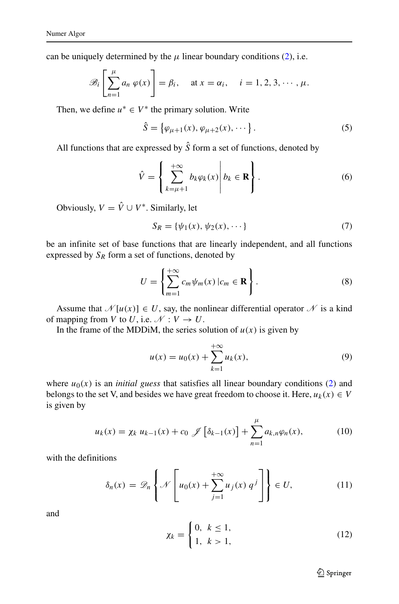can be uniquely determined by the  $\mu$  linear boundary conditions [\(2\)](#page-3-1), i.e.

$$
\mathscr{B}_i\left[\sum_{n=1}^{\mu}a_n\,\varphi(x)\right]=\beta_i,\quad \text{at } x=\alpha_i,\quad i=1,2,3,\cdots,\mu.
$$

Then, we define  $u^* \in V^*$  the primary solution. Write

<span id="page-4-2"></span>
$$
\hat{S} = \{ \varphi_{\mu+1}(x), \varphi_{\mu+2}(x), \cdots \}.
$$
 (5)

All functions that are expressed by  $\hat{S}$  form a set of functions, denoted by

<span id="page-4-6"></span>
$$
\hat{V} = \left\{ \sum_{k=\mu+1}^{+\infty} b_k \varphi_k(x) \middle| b_k \in \mathbf{R} \right\}.
$$
\n(6)

Obviously,  $V = \hat{V} \cup V^*$ . Similarly, let

$$
S_R = \{ \psi_1(x), \psi_2(x), \cdots \}
$$
 (7)

be an infinite set of base functions that are linearly independent, and all functions expressed by  $S_R$  form a set of functions, denoted by

<span id="page-4-3"></span>
$$
U = \left\{ \sum_{m=1}^{+\infty} c_m \psi_m(x) \, | c_m \in \mathbf{R} \right\}.
$$
 (8)

Assume that  $\mathcal{N}[u(x)] \in U$ , say, the nonlinear differential operator  $\mathcal N$  is a kind of mapping from *V* to *U*, i.e.  $\mathcal{N}: V \to U$ .

In the frame of the MDDiM, the series solution of  $u(x)$  is given by

<span id="page-4-4"></span>
$$
u(x) = u_0(x) + \sum_{k=1}^{+\infty} u_k(x),
$$
\n(9)

where  $u_0(x)$  is an *initial guess* that satisfies all linear boundary conditions [\(2\)](#page-3-1) and belongs to the set V, and besides we have great freedom to choose it. Here,  $u_k(x) \in V$ is given by

<span id="page-4-1"></span>
$$
u_k(x) = \chi_k \ u_{k-1}(x) + c_0 \ \mathcal{J} \left[ \delta_{k-1}(x) \right] + \sum_{n=1}^{\mu} a_{k,n} \varphi_n(x), \tag{10}
$$

with the definitions

<span id="page-4-0"></span>
$$
\delta_n(x) = \mathcal{D}_n \left\{ \mathcal{N} \left[ u_0(x) + \sum_{j=1}^{+\infty} u_j(x) \, q^j \right] \right\} \in U, \tag{11}
$$

and

<span id="page-4-5"></span>
$$
\chi_k = \begin{cases} 0, & k \le 1, \\ 1, & k > 1, \end{cases}
$$
 (12)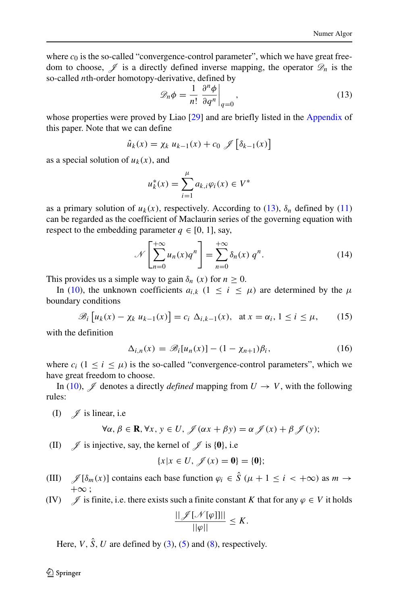where  $c_0$  is the so-called "convergence-control parameter", which we have great freedom to choose,  $\mathscr I$  is a directly defined inverse mapping, the operator  $\mathscr D_n$  is the so-called *n*th-order homotopy-derivative, defined by

<span id="page-5-0"></span>
$$
\mathscr{D}_n \phi = \frac{1}{n!} \left. \frac{\partial^n \phi}{\partial q^n} \right|_{q=0},\tag{13}
$$

whose properties were proved by Liao [\[29\]](#page-31-6) and are briefly listed in the Appendix of this paper. Note that we can define

$$
\hat{u}_k(x) = \chi_k u_{k-1}(x) + c_0 \mathcal{J} \left[ \delta_{k-1}(x) \right]
$$

as a special solution of  $u_k(x)$ , and

$$
u_k^*(x) = \sum_{i=1}^{\mu} a_{k,i} \varphi_i(x) \in V^*
$$

as a primary solution of  $u_k(x)$ , respectively. According to [\(13\)](#page-5-0),  $\delta_n$  defined by [\(11\)](#page-4-0) can be regarded as the coefficient of Maclaurin series of the governing equation with respect to the embedding parameter  $q \in [0, 1]$ , say,

$$
\mathcal{N}\left[\sum_{n=0}^{+\infty} u_n(x)q^n\right] = \sum_{n=0}^{+\infty} \delta_n(x) q^n.
$$
 (14)

This provides us a simple way to gain  $\delta_n$  (x) for  $n \geq 0$ .

In [\(10\)](#page-4-1), the unknown coefficients  $a_{i,k}$  ( $1 \le i \le \mu$ ) are determined by the  $\mu$ boundary conditions

<span id="page-5-1"></span>
$$
\mathscr{B}_i\left[u_k(x) - \chi_k u_{k-1}(x)\right] = c_i \Delta_{i,k-1}(x), \quad \text{at } x = \alpha_i, 1 \le i \le \mu,\tag{15}
$$

with the definition

$$
\Delta_{i,n}(x) = \mathscr{B}_i[u_n(x)] - (1 - \chi_{n+1})\beta_i, \qquad (16)
$$

where  $c_i$  ( $1 \le i \le \mu$ ) is the so-called "convergence-control parameters", which we have great freedom to choose.

In [\(10\)](#page-4-1),  $\mathscr J$  denotes a directly *defined* mapping from  $U \to V$ , with the following rules:

(I)  $\mathscr{J}$  is linear, i.e

$$
\forall \alpha, \beta \in \mathbf{R}, \forall x, y \in U, \mathcal{J}(\alpha x + \beta y) = \alpha \mathcal{J}(x) + \beta \mathcal{J}(y);
$$

(II)  $\mathscr{J}$  is injective, say, the kernel of  $\mathscr{J}$  is {0}, i.e

$$
\{x|x \in U, \mathscr{J}(x) = \mathbf{0}\} = \{\mathbf{0}\};
$$

- (III)  $\mathscr{J}[\delta_m(x)]$  contains each base function  $\varphi_i \in \hat{S}$  ( $\mu + 1 \le i < +\infty$ ) as  $m \to$  $+\infty$ :
- (IV)  $\mathscr{J}$  is finite, i.e. there exists such a finite constant *K* that for any  $\varphi \in V$  it holds

$$
\frac{||\mathscr{J}[\mathscr{N}[\varphi]]||}{||\varphi||}\leq K.
$$

Here, *V*,  $\hat{S}$ , *U* are defined by [\(3\)](#page-3-2), [\(5\)](#page-4-2) and [\(8\)](#page-4-3), respectively.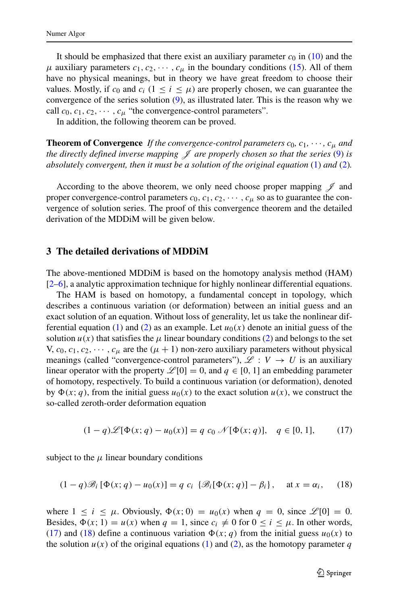It should be emphasized that there exist an auxiliary parameter  $c_0$  in [\(10\)](#page-4-1) and the  $\mu$  auxiliary parameters  $c_1, c_2, \dots, c_\mu$  in the boundary conditions [\(15\)](#page-5-1). All of them have no physical meanings, but in theory we have great freedom to choose their values. Mostly, if  $c_0$  and  $c_i$  ( $1 \le i \le \mu$ ) are properly chosen, we can guarantee the convergence of the series solution  $(9)$ , as illustrated later. This is the reason why we call  $c_0, c_1, c_2, \cdots, c_\mu$  "the convergence-control parameters".

In addition, the following theorem can be proved.

**Theorem of Convergence** If the convergence-control parameters  $c_0$ ,  $c_1$ ,  $\cdots$ ,  $c_u$  and *the directly defined inverse mapping*  $\mathcal J$  *are properly chosen so that the series* [\(9\)](#page-4-4) *is absolutely convergent, then it must be a solution of the original equation* [\(1\)](#page-3-3) *and* [\(2\)](#page-3-1)*.*

According to the above theorem, we only need choose proper mapping  $\mathscr J$  and proper convergence-control parameters  $c_0, c_1, c_2, \cdots, c_u$  so as to guarantee the convergence of solution series. The proof of this convergence theorem and the detailed derivation of the MDDiM will be given below.

#### <span id="page-6-0"></span>**3 The detailed derivations of MDDiM**

The above-mentioned MDDiM is based on the homotopy analysis method (HAM) [\[2](#page-30-1)[–6\]](#page-30-2), a analytic approximation technique for highly nonlinear differential equations.

The HAM is based on homotopy, a fundamental concept in topology, which describes a continuous variation (or deformation) between an initial guess and an exact solution of an equation. Without loss of generality, let us take the nonlinear dif-ferential equation [\(1\)](#page-3-3) and [\(2\)](#page-3-1) as an example. Let  $u_0(x)$  denote an initial guess of the solution  $u(x)$  that satisfies the  $\mu$  linear boundary conditions [\(2\)](#page-3-1) and belongs to the set V,  $c_0, c_1, c_2, \cdots, c_\mu$  are the  $(\mu + 1)$  non-zero auxiliary parameters without physical meanings (called "convergence-control parameters"),  $\mathscr{L}: V \to U$  is an auxiliary linear operator with the property  $\mathcal{L}[0] = 0$ , and  $q \in [0, 1]$  an embedding parameter of homotopy, respectively. To build a continuous variation (or deformation), denoted by  $\Phi(x; q)$ , from the initial guess  $u_0(x)$  to the exact solution  $u(x)$ , we construct the so-called zeroth-order deformation equation

<span id="page-6-1"></span>
$$
(1-q)\mathcal{L}[\Phi(x;q) - u_0(x)] = q c_0 \mathcal{N}[\Phi(x;q)], \quad q \in [0,1], \tag{17}
$$

subject to the  $\mu$  linear boundary conditions

<span id="page-6-2"></span>
$$
(1-q)\mathscr{B}_i\left[\Phi(x;q)-u_0(x)\right]=q\ c_i\ \{\mathscr{B}_i\left[\Phi(x;q)\right]-\beta_i\},\quad \text{at}\ x=\alpha_i,\tag{18}
$$

where  $1 \leq i \leq \mu$ . Obviously,  $\Phi(x; 0) = u_0(x)$  when  $q = 0$ , since  $\mathcal{L}[0] = 0$ . Besides,  $\Phi(x; 1) = u(x)$  when  $q = 1$ , since  $c_i \neq 0$  for  $0 \leq i \leq \mu$ . In other words, [\(17\)](#page-6-1) and [\(18\)](#page-6-2) define a continuous variation  $\Phi(x; q)$  from the initial guess  $u_0(x)$  to the solution  $u(x)$  of the original equations [\(1\)](#page-3-3) and [\(2\)](#page-3-1), as the homotopy parameter *q*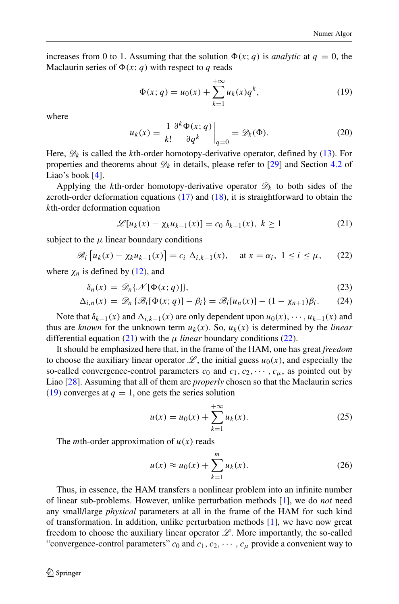increases from 0 to 1. Assuming that the solution  $\Phi(x; q)$  is *analytic* at  $q = 0$ , the Maclaurin series of  $\Phi(x; q)$  with respect to *q* reads

<span id="page-7-2"></span>
$$
\Phi(x; q) = u_0(x) + \sum_{k=1}^{+\infty} u_k(x) q^k,
$$
\n(19)

where

$$
u_k(x) = \frac{1}{k!} \frac{\partial^k \Phi(x; q)}{\partial q^k} \bigg|_{q=0} = \mathscr{D}_k(\Phi). \tag{20}
$$

Here,  $\mathscr{D}_k$  is called the *k*th-order homotopy-derivative operator, defined by [\(13\)](#page-5-0). For properties and theorems about  $\mathcal{D}_k$  in details, please refer to [\[29\]](#page-31-6) and Section [4.2](#page-18-0) of Liao's book  $[4]$ .

Applying the *k*th-order homotopy-derivative operator  $\mathcal{D}_k$  to both sides of the zeroth-order deformation equations [\(17\)](#page-6-1) and [\(18\)](#page-6-2), it is straightforward to obtain the *k*th-order deformation equation

<span id="page-7-0"></span>
$$
\mathcal{L}[u_k(x) - \chi_k u_{k-1}(x)] = c_0 \delta_{k-1}(x), \ k \ge 1
$$
 (21)

subject to the  $\mu$  linear boundary conditions

<span id="page-7-1"></span>
$$
\mathscr{B}_i\left[u_k(x) - \chi_k u_{k-1}(x)\right] = c_i \Delta_{i,k-1}(x), \quad \text{at } x = \alpha_i, \ 1 \le i \le \mu,\tag{22}
$$

where  $\chi_n$  is defined by [\(12\)](#page-4-5), and

$$
\delta_n(x) = \mathcal{D}_n\{\mathcal{N}[\Phi(x; q)]\},\tag{23}
$$

$$
\Delta_{i,n}(x) = \mathscr{D}_n \left\{ \mathscr{B}_i[\Phi(x;q)] - \beta_i \right\} = \mathscr{B}_i[u_n(x)] - (1 - \chi_{n+1})\beta_i. \tag{24}
$$

Note that  $\delta_{k-1}(x)$  and  $\Delta_{i,k-1}(x)$  are only dependent upon  $u_0(x), \dots, u_{k-1}(x)$  and thus are *known* for the unknown term  $u_k(x)$ . So,  $u_k(x)$  is determined by the *linear* differential equation  $(21)$  with the  $\mu$  *linear* boundary conditions  $(22)$ .

It should be emphasized here that, in the frame of the HAM, one has great *freedom* to choose the auxiliary linear operator  $\mathscr{L}$ , the initial guess  $u_0(x)$ , and especially the so-called convergence-control parameters  $c_0$  and  $c_1, c_2, \cdots, c_u$ , as pointed out by Liao [\[28\]](#page-31-5). Assuming that all of them are *properly* chosen so that the Maclaurin series  $(19)$  converges at  $q = 1$ , one gets the series solution

$$
u(x) = u_0(x) + \sum_{k=1}^{+\infty} u_k(x).
$$
 (25)

The *m*th-order approximation of  $u(x)$  reads

$$
u(x) \approx u_0(x) + \sum_{k=1}^{m} u_k(x).
$$
 (26)

Thus, in essence, the HAM transfers a nonlinear problem into an infinite number of linear sub-problems. However, unlike perturbation methods [\[1\]](#page-30-0), we do *not* need any small/large *physical* parameters at all in the frame of the HAM for such kind of transformation. In addition, unlike perturbation methods [\[1\]](#page-30-0), we have now great freedom to choose the auxiliary linear operator  $\mathscr L$ . More importantly, the so-called "convergence-control parameters"  $c_0$  and  $c_1, c_2, \cdots, c_\mu$  provide a convenient way to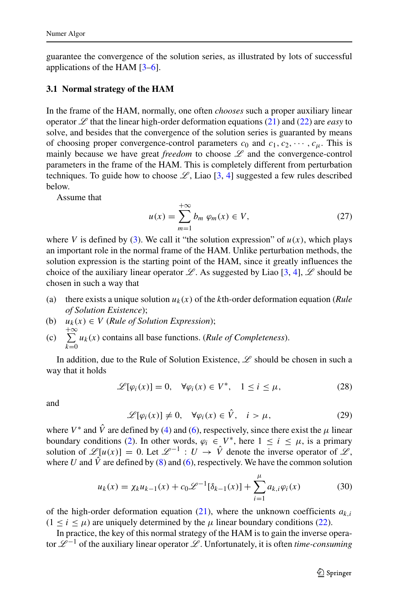guarantee the convergence of the solution series, as illustrated by lots of successful applications of the HAM [\[3–](#page-30-4)[6\]](#page-30-2).

### **3.1 Normal strategy of the HAM**

In the frame of the HAM, normally, one often *chooses* such a proper auxiliary linear operator  $\mathscr L$  that the linear high-order deformation equations [\(21\)](#page-7-0) and [\(22\)](#page-7-1) are *easy* to solve, and besides that the convergence of the solution series is guaranted by means of choosing proper convergence-control parameters  $c_0$  and  $c_1, c_2, \cdots, c_\mu$ . This is mainly because we have great *freedom* to choose  $\mathscr L$  and the convergence-control parameters in the frame of the HAM. This is completely different from perturbation techniques. To guide how to choose  $\mathcal{L}$ , Liao [\[3,](#page-30-4) [4\]](#page-30-5) suggested a few rules described below.

Assume that

$$
u(x) = \sum_{m=1}^{+\infty} b_m \varphi_m(x) \in V,
$$
 (27)

where *V* is defined by [\(3\)](#page-3-2). We call it "the solution expression" of  $u(x)$ , which plays an important role in the normal frame of the HAM. Unlike perturbation methods, the solution expression is the starting point of the HAM, since it greatly influences the choice of the auxiliary linear operator  $\mathscr{L}$ . As suggested by Liao [\[3,](#page-30-4) [4\]](#page-30-5),  $\mathscr{L}$  should be chosen in such a way that

- (a) there exists a unique solution  $u_k(x)$  of the *k*th-order deformation equation (*Rule of Solution Existence*);
- (b)  $u_k(x) \in V$  (*Rule of Solution Expression*);
- $(c) \quad \sum_{ }^{ + \infty}$ *k*=0 *uk(x)* contains all base functions. (*Rule of Completeness*).

In addition, due to the Rule of Solution Existence,  $\mathscr L$  should be chosen in such a way that it holds

$$
\mathscr{L}[\varphi_i(x)] = 0, \quad \forall \varphi_i(x) \in V^*, \quad 1 \le i \le \mu,
$$
\n<sup>(28)</sup>

and

$$
\mathscr{L}[\varphi_i(x)] \neq 0, \quad \forall \varphi_i(x) \in \hat{V}, \quad i > \mu,
$$
\n
$$
(29)
$$

where  $V^*$  and  $\hat{V}$  are defined by [\(4\)](#page-3-4) and [\(6\)](#page-4-6), respectively, since there exist the  $\mu$  linear boundary conditions [\(2\)](#page-3-1). In other words,  $\varphi_i \in V^*$ , here  $1 \le i \le \mu$ , is a primary solution of  $\mathscr{L}[u(x)] = 0$ . Let  $\mathscr{L}^{-1} : U \to \hat{V}$  denote the inverse operator of  $\mathscr{L}$ , where *U* and  $\hat{V}$  are defined by [\(8\)](#page-4-3) and [\(6\)](#page-4-6), respectively. We have the common solution

$$
u_k(x) = \chi_k u_{k-1}(x) + c_0 \mathcal{L}^{-1}[\delta_{k-1}(x)] + \sum_{i=1}^{\mu} a_{k,i} \varphi_i(x)
$$
(30)

of the high-order deformation equation [\(21\)](#page-7-0), where the unknown coefficients  $a_{k,i}$  $(1 \le i \le \mu)$  are uniquely determined by the  $\mu$  linear boundary conditions [\(22\)](#page-7-1).

In practice, the key of this normal strategy of the HAM is to gain the inverse operator L <sup>−</sup><sup>1</sup> of the auxiliary linear operator L . Unfortunately, it is often *time-consuming*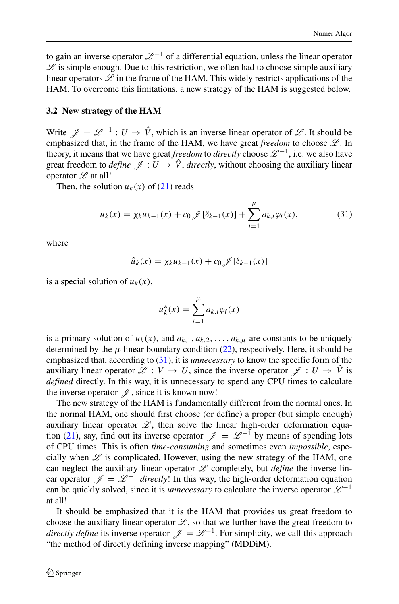to gain an inverse operator  $\mathcal{L}^{-1}$  of a differential equation, unless the linear operator  $\mathscr L$  is simple enough. Due to this restriction, we often had to choose simple auxiliary linear operators  $\mathscr L$  in the frame of the HAM. This widely restricts applications of the HAM. To overcome this limitations, a new strategy of the HAM is suggested below.

#### **3.2 New strategy of the HAM**

Write  $\mathcal{J} = \mathcal{L}^{-1} : U \to \hat{V}$ , which is an inverse linear operator of  $\mathcal{L}$ . It should be emphasized that, in the frame of the HAM, we have great *freedom* to choose  $L$ . In theory, it means that we have great *freedom* to *directly* choose  $\mathcal{L}^{-1}$ , i.e. we also have great freedom to *define*  $\mathscr{J}: U \to \hat{V}$ , *directly*, without choosing the auxiliary linear operator  $\mathscr L$  at all!

Then, the solution  $u_k(x)$  of  $(21)$  reads

<span id="page-9-0"></span>
$$
u_k(x) = \chi_k u_{k-1}(x) + c_0 \mathcal{J}[\delta_{k-1}(x)] + \sum_{i=1}^{\mu} a_{k,i} \varphi_i(x), \tag{31}
$$

where

$$
\hat{u}_k(x) = \chi_k u_{k-1}(x) + c_0 \mathcal{J}[\delta_{k-1}(x)]
$$

is a special solution of  $u_k(x)$ ,

$$
u_k^*(x) = \sum_{i=1}^{\mu} a_{k,i} \varphi_i(x)
$$

is a primary solution of  $u_k(x)$ , and  $a_{k,1}, a_{k,2}, \ldots, a_{k,\mu}$  are constants to be uniquely determined by the  $\mu$  linear boundary condition [\(22\)](#page-7-1), respectively. Here, it should be emphasized that, according to [\(31\)](#page-9-0), it is *unnecessary* to know the specific form of the auxiliary linear operator  $\mathscr{L}: V \to U$ , since the inverse operator  $\mathscr{L}: U \to V$  is *defined* directly. In this way, it is unnecessary to spend any CPU times to calculate the inverse operator  $\mathscr{J}$ , since it is known now!

The new strategy of the HAM is fundamentally different from the normal ones. In the normal HAM, one should first choose (or define) a proper (but simple enough) auxiliary linear operator  $\mathscr{L}$ , then solve the linear high-order deformation equa-tion [\(21\)](#page-7-0), say, find out its inverse operator  $\mathscr{J} = \mathscr{L}^{-1}$  by means of spending lots of CPU times. This is often *time-consuming* and sometimes even *impossible*, especially when  $L$  is complicated. However, using the new strategy of the HAM, one can neglect the auxiliary linear operator  $L$  completely, but *define* the inverse linear operator  $\mathcal{J} = \mathcal{L}^{-1}$  *directly*! In this way, the high-order deformation equation can be quickly solved, since it is *unnecessary* to calculate the inverse operator  $\mathcal{L}^{-1}$ at all!

It should be emphasized that it is the HAM that provides us great freedom to choose the auxiliary linear operator  $\mathscr{L}$ , so that we further have the great freedom to *directly define* its inverse operator  $\mathcal{J} = \mathcal{L}^{-1}$ . For simplicity, we call this approach "the method of directly defining inverse mapping" (MDDiM).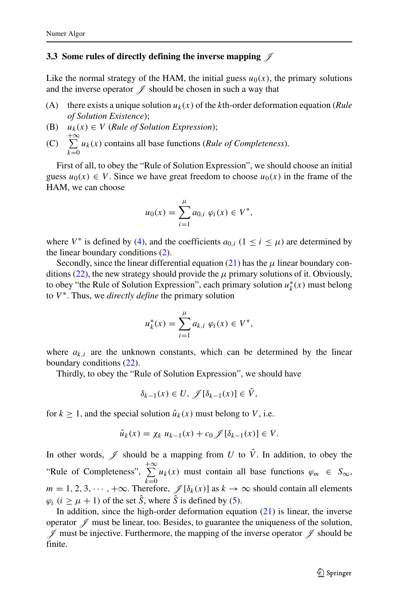### **3.3** Some rules of directly defining the inverse mapping  $\mathscr J$

Like the normal strategy of the HAM, the initial guess  $u_0(x)$ , the primary solutions and the inverse operator  $\mathscr I$  should be chosen in such a way that

- (A) there exists a unique solution  $u_k(x)$  of the *k*th-order deformation equation (*Rule of Solution Existence*);
- (B)  $u_k(x) \in V$  (*Rule of Solution Expression*);
- $(C) \quad \sum^{+\infty}$ *k*=0 *uk(x)* contains all base functions (*Rule of Completeness*).

First of all, to obey the "Rule of Solution Expression", we should choose an initial guess  $u_0(x) \in V$ . Since we have great freedom to choose  $u_0(x)$  in the frame of the HAM, we can choose

$$
u_0(x) = \sum_{i=1}^{\mu} a_{0,i} \varphi_i(x) \in V^*,
$$

where  $V^*$  is defined by [\(4\)](#page-3-4), and the coefficients  $a_{0,i}$  ( $1 \le i \le \mu$ ) are determined by the linear boundary conditions [\(2\)](#page-3-1).

Secondly, since the linear differential equation  $(21)$  has the  $\mu$  linear boundary con-ditions [\(22\)](#page-7-1), the new strategy should provide the  $\mu$  primary solutions of it. Obviously, to obey "the Rule of Solution Expression", each primary solution *u*∗ *<sup>k</sup> (x)* must belong to *V* ∗. Thus, we *directly define* the primary solution

$$
u_k^*(x) = \sum_{i=1}^{\mu} a_{k,i} \varphi_i(x) \in V^*,
$$

where  $a_{k,i}$  are the unknown constants, which can be determined by the linear boundary conditions [\(22\)](#page-7-1).

Thirdly, to obey the "Rule of Solution Expression", we should have

$$
\delta_{k-1}(x) \in U, \mathscr{J}[\delta_{k-1}(x)] \in \hat{V},
$$

for  $k \ge 1$ , and the special solution  $\hat{u}_k(x)$  must belong to V, i.e.

$$
\hat{u}_k(x) = \chi_k u_{k-1}(x) + c_0 \mathcal{J}[\delta_{k-1}(x)] \in V.
$$

In other words,  $\mathscr I$  should be a mapping from *U* to  $\hat V$ . In addition, to obey the "Rule of Completeness",  $\sum_{ }^{ + \infty}$  $\sum_{k=0} u_k(x)$  must contain all base functions  $\varphi_m \in S_\infty$ ,  $m = 1, 2, 3, \dots, +\infty$ . Therefore,  $\mathcal{J}[\delta_k(x)]$  as  $k \to \infty$  should contain all elements  $\varphi_i$  ( $i \geq \mu + 1$ ) of the set  $\hat{S}$ , where  $\hat{S}$  is defined by [\(5\)](#page-4-2).

In addition, since the high-order deformation equation  $(21)$  is linear, the inverse operator  $\mathscr I$  must be linear, too. Besides, to guarantee the uniqueness of the solution,  $\mathscr J$  must be injective. Furthermore, the mapping of the inverse operator  $\mathscr J$  should be finite.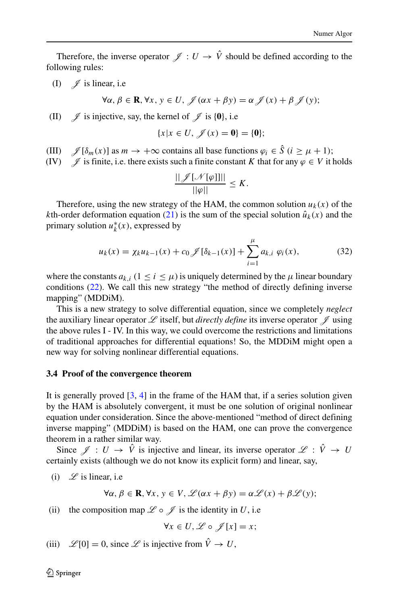Therefore, the inverse operator  $\mathscr{J}: U \to \hat{V}$  should be defined according to the following rules:

(I)  $\mathscr{J}$  is linear, i.e

$$
\forall \alpha, \beta \in \mathbf{R}, \forall x, y \in U, \mathcal{J}(\alpha x + \beta y) = \alpha \mathcal{J}(x) + \beta \mathcal{J}(y);
$$

(II)  $\mathscr{J}$  is injective, say, the kernel of  $\mathscr{J}$  is {0}, i.e

$$
\{x|x \in U, \mathscr{J}(x) = \mathbf{0}\} = \{\mathbf{0}\};
$$

(III)  $\mathscr{J}[\delta_m(x)]$  as  $m \to +\infty$  contains all base functions  $\varphi_i \in \hat{S}$  ( $i \ge \mu + 1$ );<br>(IV)  $\mathscr{J}$  is finite, i.e. there exists such a finite constant K that for any  $\varphi \in V$  it l

 $\mathscr{I}$  is finite, i.e. there exists such a finite constant *K* that for any  $\varphi \in V$  it holds

$$
\frac{||\mathscr{J}[\mathscr{N}[\varphi]]||}{||\varphi||}\leq K.
$$

Therefore, using the new strategy of the HAM, the common solution  $u_k(x)$  of the *k*th-order deformation equation [\(21\)](#page-7-0) is the sum of the special solution  $\hat{u}_k(x)$  and the primary solution  $u_k^*(x)$ , expressed by

$$
u_k(x) = \chi_k u_{k-1}(x) + c_0 \mathcal{J}[\delta_{k-1}(x)] + \sum_{i=1}^{\mu} a_{k,i} \varphi_i(x), \tag{32}
$$

where the constants  $a_{k,i}$  ( $1 \le i \le \mu$ ) is uniquely determined by the  $\mu$  linear boundary conditions [\(22\)](#page-7-1). We call this new strategy "the method of directly defining inverse mapping" (MDDiM).

This is a new strategy to solve differential equation, since we completely *neglect* the auxiliary linear operator  $\mathscr L$  itself, but *directly define* its inverse operator  $\mathscr I$  using the above rules I - IV. In this way, we could overcome the restrictions and limitations of traditional approaches for differential equations! So, the MDDiM might open a new way for solving nonlinear differential equations.

#### **3.4 Proof of the convergence theorem**

It is generally proved [\[3,](#page-30-4) [4\]](#page-30-5) in the frame of the HAM that, if a series solution given by the HAM is absolutely convergent, it must be one solution of original nonlinear equation under consideration. Since the above-mentioned "method of direct defining inverse mapping" (MDDiM) is based on the HAM, one can prove the convergence theorem in a rather similar way.

Since  $\mathscr{J}: U \to \hat{V}$  is injective and linear, its inverse operator  $\mathscr{L}: \hat{V} \to U$ certainly exists (although we do not know its explicit form) and linear, say,

(i)  $\mathscr{L}$  is linear, i.e

$$
\forall \alpha, \beta \in \mathbf{R}, \forall x, y \in V, \mathcal{L}(\alpha x + \beta y) = \alpha \mathcal{L}(x) + \beta \mathcal{L}(y);
$$

(ii) the composition map  $\mathscr L \circ \mathscr J$  is the identity in U, i.e

$$
\forall x \in U, \mathscr{L} \circ \mathscr{J}[x] = x;
$$

(iii)  $\mathscr{L}[0] = 0$ , since  $\mathscr{L}$  is injective from  $\hat{V} \to U$ ,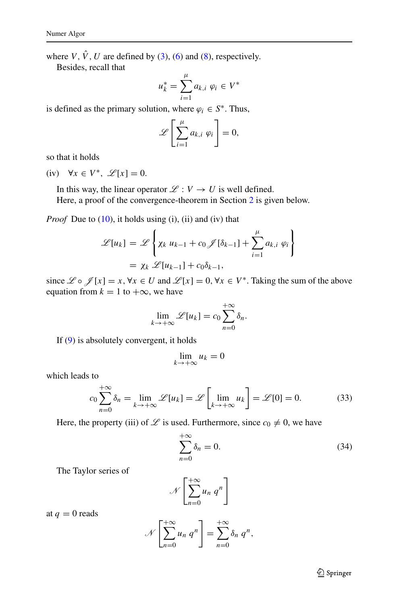where *V*,  $\hat{V}$ , *U* are defined by [\(3\)](#page-3-2), [\(6\)](#page-4-6) and [\(8\)](#page-4-3), respectively.

Besides, recall that

$$
u_k^* = \sum_{i=1}^{\mu} a_{k,i} \varphi_i \in V^*
$$

is defined as the primary solution, where  $\varphi_i \in S^*$ . Thus,

$$
\mathscr{L}\left[\sum_{i=1}^{\mu}a_{k,i}\varphi_i\right]=0,
$$

so that it holds

(iv)  $\forall x \in V^*, \mathcal{L}[x] = 0.$ 

In this way, the linear operator  $\mathcal{L} : V \to U$  is well defined.

Here, a proof of the convergence-theorem in Section [2](#page-3-0) is given below.

*Proof* Due to [\(10\)](#page-4-1), it holds using (i), (ii) and (iv) that

$$
\mathcal{L}[u_k] = \mathcal{L}\left\{\chi_k u_{k-1} + c_0 \mathcal{J}[\delta_{k-1}] + \sum_{i=1}^{\mu} a_{k,i} \varphi_i\right\}
$$

$$
= \chi_k \mathcal{L}[u_{k-1}] + c_0 \delta_{k-1},
$$

since  $\mathcal{L} \circ \mathcal{J}[x] = x, \forall x \in U$  and  $\mathcal{L}[x] = 0, \forall x \in V^*$ . Taking the sum of the above equation from  $k = 1$  to  $+\infty$ , we have

$$
\lim_{k \to +\infty} \mathcal{L}[u_k] = c_0 \sum_{n=0}^{+\infty} \delta_n.
$$

If [\(9\)](#page-4-4) is absolutely convergent, it holds

$$
\lim_{k \to +\infty} u_k = 0
$$

which leads to

$$
c_0 \sum_{n=0}^{+\infty} \delta_n = \lim_{k \to +\infty} \mathcal{L}[u_k] = \mathcal{L}\left[\lim_{k \to +\infty} u_k\right] = \mathcal{L}[0] = 0. \tag{33}
$$

Here, the property (iii) of  $\mathscr L$  is used. Furthermore, since  $c_0 \neq 0$ , we have

<span id="page-12-0"></span>
$$
\sum_{n=0}^{+\infty} \delta_n = 0. \tag{34}
$$

The Taylor series of

$$
\mathscr{N}\left[\sum_{n=0}^{+\infty}u_n\ q^n\right]
$$

at  $q = 0$  reads

$$
\mathscr{N}\left[\sum_{n=0}^{+\infty}u_n q^n\right]=\sum_{n=0}^{+\infty}\delta_n q^n,
$$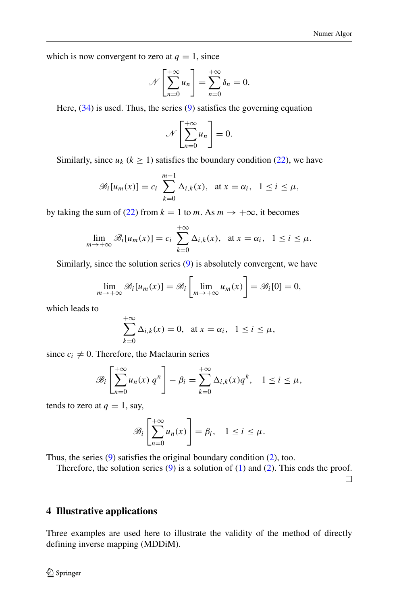which is now convergent to zero at  $q = 1$ , since

$$
\mathcal{N}\left[\sum_{n=0}^{+\infty}u_n\right]=\sum_{n=0}^{+\infty}\delta_n=0.
$$

Here,  $(34)$  is used. Thus, the series  $(9)$  satisfies the governing equation

$$
\mathscr{N}\left[\sum_{n=0}^{+\infty}u_n\right]=0.
$$

Similarly, since  $u_k$  ( $k \ge 1$ ) satisfies the boundary condition [\(22\)](#page-7-1), we have

$$
\mathscr{B}_i[u_m(x)] = c_i \sum_{k=0}^{m-1} \Delta_{i,k}(x), \text{ at } x = \alpha_i, \quad 1 \le i \le \mu,
$$

by taking the sum of [\(22\)](#page-7-1) from  $k = 1$  to *m*. As  $m \to +\infty$ , it becomes

$$
\lim_{m\to+\infty} \mathscr{B}_i[u_m(x)] = c_i \sum_{k=0}^{+\infty} \Delta_{i,k}(x), \text{ at } x = \alpha_i, \quad 1 \le i \le \mu.
$$

Similarly, since the solution series [\(9\)](#page-4-4) is absolutely convergent, we have

$$
\lim_{m \to +\infty} \mathscr{B}_i[u_m(x)] = \mathscr{B}_i\left[\lim_{m \to +\infty} u_m(x)\right] = \mathscr{B}_i[0] = 0,
$$

which leads to

$$
\sum_{k=0}^{+\infty} \Delta_{i,k}(x) = 0, \quad \text{at } x = \alpha_i, \quad 1 \le i \le \mu,
$$

since  $c_i \neq 0$ . Therefore, the Maclaurin series

$$
\mathscr{B}_i\left[\sum_{n=0}^{+\infty}u_n(x) q^n\right]-\beta_i=\sum_{k=0}^{+\infty}\Delta_{i,k}(x)q^k,\quad 1\leq i\leq\mu,
$$

tends to zero at  $q = 1$ , say,

$$
\mathscr{B}_i\left[\sum_{n=0}^{+\infty}u_n(x)\right]=\beta_i,\quad 1\leq i\leq\mu.
$$

Thus, the series [\(9\)](#page-4-4) satisfies the original boundary condition [\(2\)](#page-3-1), too.

Therefore, the solution series  $(9)$  is a solution of  $(1)$  and  $(2)$ . This ends the proof.

 $\Box$ 

### <span id="page-13-0"></span>**4 Illustrative applications**

Three examples are used here to illustrate the validity of the method of directly defining inverse mapping (MDDiM).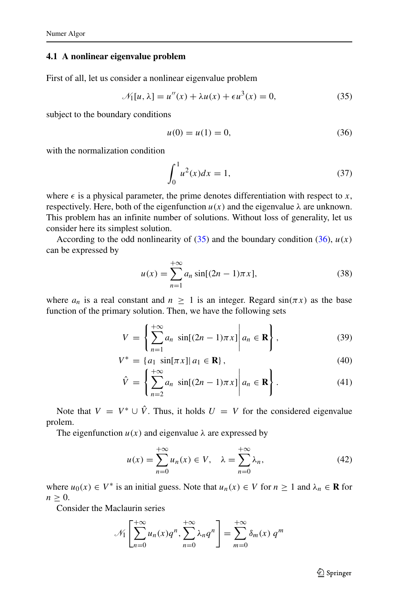## **4.1 A nonlinear eigenvalue problem**

First of all, let us consider a nonlinear eigenvalue problem

<span id="page-14-0"></span>
$$
\mathcal{N}_1[u,\lambda] = u''(x) + \lambda u(x) + \epsilon u^3(x) = 0,\tag{35}
$$

subject to the boundary conditions

<span id="page-14-1"></span>
$$
u(0) = u(1) = 0,\t(36)
$$

with the normalization condition

<span id="page-14-3"></span>
$$
\int_0^1 u^2(x)dx = 1,
$$
\n(37)

where  $\epsilon$  is a physical parameter, the prime denotes differentiation with respect to *x*, respectively. Here, both of the eigenfunction  $u(x)$  and the eigenvalue  $\lambda$  are unknown. This problem has an infinite number of solutions. Without loss of generality, let us consider here its simplest solution.

According to the odd nonlinearity of  $(35)$  and the boundary condition  $(36)$ ,  $u(x)$ can be expressed by

$$
u(x) = \sum_{n=1}^{+\infty} a_n \sin[(2n-1)\pi x],
$$
 (38)

where  $a_n$  is a real constant and  $n \geq 1$  is an integer. Regard  $sin(\pi x)$  as the base function of the primary solution. Then, we have the following sets

<span id="page-14-2"></span>
$$
V = \left\{ \sum_{n=1}^{+\infty} a_n \sin[(2n-1)\pi x] \middle| a_n \in \mathbf{R} \right\},\tag{39}
$$

$$
V^* = \{a_1 \sin[\pi x] | a_1 \in \mathbf{R}\},\tag{40}
$$

$$
\hat{V} = \left\{ \sum_{n=2}^{+\infty} a_n \sin[(2n-1)\pi x] \middle| a_n \in \mathbf{R} \right\}.
$$
\n(41)

Note that  $V = V^* \cup \hat{V}$ . Thus, it holds  $U = V$  for the considered eigenvalue prolem.

The eigenfunction  $u(x)$  and eigenvalue  $\lambda$  are expressed by

$$
u(x) = \sum_{n=0}^{+\infty} u_n(x) \in V, \quad \lambda = \sum_{n=0}^{+\infty} \lambda_n,
$$
 (42)

where  $u_0(x) \in V^*$  is an initial guess. Note that  $u_n(x) \in V$  for  $n \ge 1$  and  $\lambda_n \in \mathbf{R}$  for  $n \geq 0$ .

Consider the Maclaurin series

$$
\mathcal{N}_1\left[\sum_{n=0}^{+\infty} u_n(x)q^n, \sum_{n=0}^{+\infty} \lambda_n q^n\right] = \sum_{m=0}^{+\infty} \delta_m(x) q^m
$$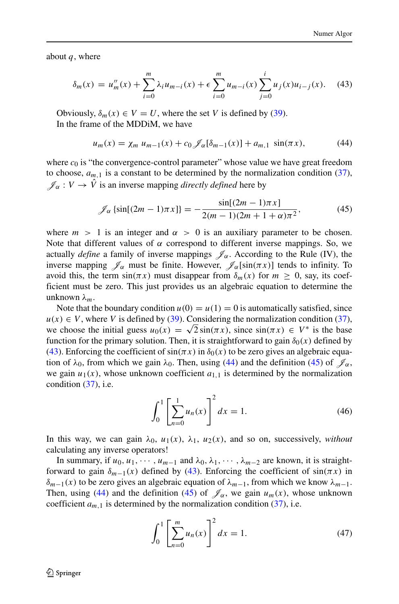about *q*, where

<span id="page-15-0"></span>
$$
\delta_m(x) = u''_m(x) + \sum_{i=0}^m \lambda_i u_{m-i}(x) + \epsilon \sum_{i=0}^m u_{m-i}(x) \sum_{j=0}^i u_j(x) u_{i-j}(x).
$$
 (43)

Obviously,  $\delta_m(x) \in V = U$ , where the set *V* is defined by [\(39\)](#page-14-2). In the frame of the MDDiM, we have

<span id="page-15-1"></span>
$$
u_m(x) = \chi_m u_{m-1}(x) + c_0 \mathcal{J}_\alpha[\delta_{m-1}(x)] + a_{m,1} \sin(\pi x), \tag{44}
$$

where  $c_0$  is "the convergence-control parameter" whose value we have great freedom to choose,  $a_{m,1}$  is a constant to be determined by the normalization condition [\(37\)](#page-14-3),  $\mathscr{J}_{\alpha}: V \to \hat{V}$  is an inverse mapping *directly defined* here by

<span id="page-15-2"></span>
$$
\mathcal{J}_{\alpha}\left\{\sin[(2m-1)\pi x]\right\} = -\frac{\sin[(2m-1)\pi x]}{2(m-1)(2m+1+\alpha)\pi^2},\tag{45}
$$

where  $m > 1$  is an integer and  $\alpha > 0$  is an auxiliary parameter to be chosen. Note that different values of  $\alpha$  correspond to different inverse mappings. So, we actually *define* a family of inverse mappings  $\mathcal{J}_{\alpha}$ . According to the Rule (IV), the inverse mapping  $\mathscr{J}_\alpha$  must be finite. However,  $\mathscr{J}_\alpha$ [sin $(\pi x)$ ] tends to infinity. To avoid this, the term  $sin(\pi x)$  must disappear from  $\delta_m(x)$  for  $m \geq 0$ , say, its coefficient must be zero. This just provides us an algebraic equation to determine the unknown *λm*.

Note that the boundary condition  $u(0) = u(1) = 0$  is automatically satisfied, since  $u(x) \in V$ , where *V* is defined by [\(39\)](#page-14-2). Considering the normalization condition [\(37\)](#page-14-3), we choose the initial guess  $u_0(x) = \sqrt{2} \sin(\pi x)$ , since  $\sin(\pi x) \in V^*$  is the base function for the primary solution. Then, it is straightforward to gain  $\delta_0(x)$  defined by [\(43\)](#page-15-0). Enforcing the coefficient of  $sin(\pi x)$  in  $\delta_0(x)$  to be zero gives an algebraic equation of  $\lambda_0$ , from which we gain  $\lambda_0$ . Then, using [\(44\)](#page-15-1) and the definition [\(45\)](#page-15-2) of  $\mathcal{J}_\alpha$ , we gain  $u_1(x)$ , whose unknown coefficient  $a_{1,1}$  is determined by the normalization condition  $(37)$ , i.e.

$$
\int_0^1 \left[ \sum_{n=0}^1 u_n(x) \right]^2 dx = 1.
$$
 (46)

In this way, we can gain  $\lambda_0$ ,  $u_1(x)$ ,  $\lambda_1$ ,  $u_2(x)$ , and so on, successively, *without* calculating any inverse operators!

In summary, if  $u_0, u_1, \dots, u_{m-1}$  and  $\lambda_0, \lambda_1, \dots, \lambda_{m-2}$  are known, it is straightforward to gain  $\delta_{m-1}(x)$  defined by [\(43\)](#page-15-0). Enforcing the coefficient of  $sin(\pi x)$  in *δm*−1*(x)* to be zero gives an algebraic equation of *λm*−1, from which we know *λm*−1. Then, using [\(44\)](#page-15-1) and the definition [\(45\)](#page-15-2) of  $\mathcal{J}_{\alpha}$ , we gain  $u_m(x)$ , whose unknown coefficient  $a_{m,1}$  is determined by the normalization condition [\(37\)](#page-14-3), i.e.

$$
\int_0^1 \left[ \sum_{n=0}^m u_n(x) \right]^2 dx = 1.
$$
 (47)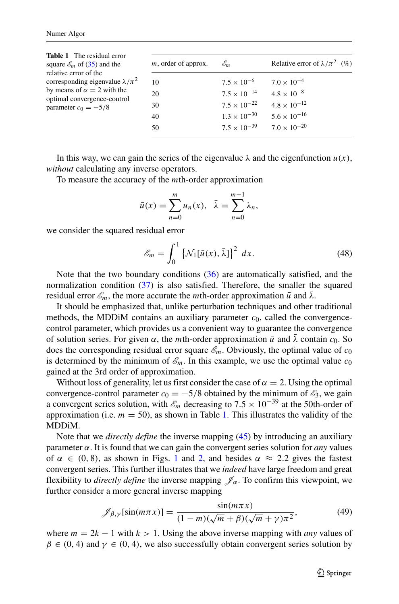<span id="page-16-0"></span>

| <b>Table 1</b> The residual error<br>square $\mathscr{E}_m$ of (35) and the<br>relative error of the<br>corresponding eigenvalue $\lambda/\pi^2$<br>by means of $\alpha = 2$ with the<br>optimal convergence-control<br>parameter $c_0 = -5/8$ | $m$ , order of approx. | $\mathscr{E}_m$       | Relative error of $\lambda/\pi^2$ (%) |
|------------------------------------------------------------------------------------------------------------------------------------------------------------------------------------------------------------------------------------------------|------------------------|-----------------------|---------------------------------------|
|                                                                                                                                                                                                                                                | 10                     | $7.5 \times 10^{-6}$  | $7.0 \times 10^{-4}$                  |
|                                                                                                                                                                                                                                                | 20                     | $7.5 \times 10^{-14}$ | $4.8 \times 10^{-8}$                  |
|                                                                                                                                                                                                                                                | 30                     | $7.5 \times 10^{-22}$ | $4.8 \times 10^{-12}$                 |
|                                                                                                                                                                                                                                                | 40                     | $1.3 \times 10^{-30}$ | $5.6 \times 10^{-16}$                 |
|                                                                                                                                                                                                                                                | 50                     | $7.5 \times 10^{-39}$ | $7.0 \times 10^{-20}$                 |
|                                                                                                                                                                                                                                                |                        |                       |                                       |

In this way, we can gain the series of the eigenvalue  $\lambda$  and the eigenfunction  $u(x)$ , *without* calculating any inverse operators.

To measure the accuracy of the *m*th-order approximation

$$
\bar{u}(x) = \sum_{n=0}^{m} u_n(x), \quad \bar{\lambda} = \sum_{n=0}^{m-1} \lambda_n,
$$

we consider the squared residual error

$$
\mathcal{E}_m = \int_0^1 \left\{ \mathcal{N}_1[\bar{u}(x), \bar{\lambda}] \right\}^2 dx.
$$
 (48)

Note that the two boundary conditions  $(36)$  are automatically satisfied, and the normalization condition [\(37\)](#page-14-3) is also satisfied. Therefore, the smaller the squared residual error  $\mathcal{E}_m$ , the more accurate the *m*th-order approximation  $\bar{u}$  and  $\lambda$ .

It should be emphasized that, unlike perturbation techniques and other traditional methods, the MDDiM contains an auxiliary parameter  $c<sub>0</sub>$ , called the convergencecontrol parameter, which provides us a convenient way to guarantee the convergence of solution series. For given *α*, the *m*th-order approximation  $\bar{u}$  and  $\lambda$  contain *c*<sub>0</sub>. So does the corresponding residual error square  $\mathscr{E}_m$ . Obviously, the optimal value of  $c_0$ is determined by the minimum of  $\mathscr{E}_m$ . In this example, we use the optimal value  $c_0$ gained at the 3rd order of approximation.

Without loss of generality, let us first consider the case of  $\alpha = 2$ . Using the optimal convergence-control parameter  $c_0 = -5/8$  obtained by the minimum of  $\mathscr{E}_3$ , we gain a convergent series solution, with  $\mathscr{E}_m$  decreasing to 7.5 × 10<sup>-39</sup> at the 50th-order of approximation (i.e.  $m = 50$ ), as shown in Table [1.](#page-16-0) This illustrates the validity of the MDDiM.

Note that we *directly define* the inverse mapping [\(45\)](#page-15-2) by introducing an auxiliary parameter *α*. It is found that we can gain the convergent series solution for *any* values of  $\alpha \in (0, 8)$ , as shown in Figs. [1](#page-17-0) and [2,](#page-18-1) and besides  $\alpha \approx 2.2$  gives the fastest convergent series. This further illustrates that we *indeed* have large freedom and great flexibility to *directly define* the inverse mapping  $\mathcal{J}_{\alpha}$ . To confirm this viewpoint, we further consider a more general inverse mapping

<span id="page-16-1"></span>
$$
\mathcal{J}_{\beta,\gamma}[\sin(m\pi x)] = \frac{\sin(m\pi x)}{(1-m)(\sqrt{m}+\beta)(\sqrt{m}+\gamma)\pi^2},\tag{49}
$$

where  $m = 2k - 1$  with  $k > 1$ . Using the above inverse mapping with *any* values of  $\beta \in (0, 4)$  and  $\gamma \in (0, 4)$ , we also successfully obtain convergent series solution by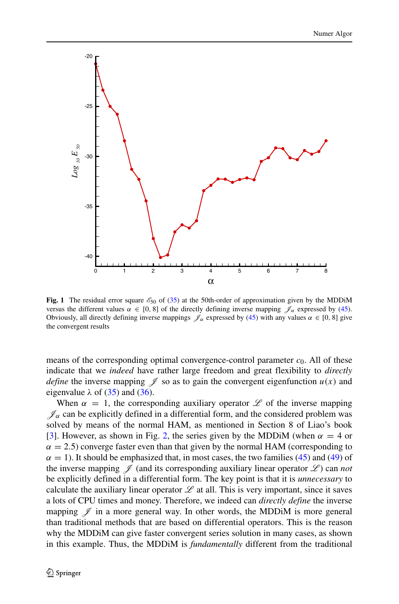<span id="page-17-0"></span>

**Fig. 1** The residual error square  $\mathcal{E}_{50}$  of [\(35\)](#page-14-0) at the 50th-order of approximation given by the MDDiM versus the different values  $\alpha \in [0, 8]$  of the directly defining inverse mapping  $\mathcal{J}_{\alpha}$  expressed by [\(45\)](#page-15-2). Obviously, all directly defining inverse mappings  $\mathscr{J}_{\alpha}$  expressed by [\(45\)](#page-15-2) with any values  $\alpha \in [0, 8]$  give the convergent results

means of the corresponding optimal convergence-control parameter  $c<sub>0</sub>$ . All of these indicate that we *indeed* have rather large freedom and great flexibility to *directly define* the inverse mapping  $\mathcal I$  so as to gain the convergent eigenfunction  $u(x)$  and eigenvalue  $\lambda$  of [\(35\)](#page-14-0) and [\(36\)](#page-14-1).

When  $\alpha = 1$ , the corresponding auxiliary operator  $\mathscr L$  of the inverse mapping  $\mathscr{J}_\alpha$  can be explicitly defined in a differential form, and the considered problem was solved by means of the normal HAM, as mentioned in Section 8 of Liao's book [\[3\]](#page-30-4). However, as shown in Fig. [2,](#page-18-1) the series given by the MDDiM (when  $\alpha = 4$  or  $\alpha = 2.5$ ) converge faster even than that given by the normal HAM (corresponding to  $\alpha = 1$ ). It should be emphasized that, in most cases, the two families [\(45\)](#page-15-2) and [\(49\)](#page-16-1) of the inverse mapping  $\mathscr J$  (and its corresponding auxiliary linear operator  $\mathscr L$ ) can *not* be explicitly defined in a differential form. The key point is that it is *unnecessary* to calculate the auxiliary linear operator  $\mathscr L$  at all. This is very important, since it saves a lots of CPU times and money. Therefore, we indeed can *directly define* the inverse mapping  $\mathscr I$  in a more general way. In other words, the MDDiM is more general than traditional methods that are based on differential operators. This is the reason why the MDDiM can give faster convergent series solution in many cases, as shown in this example. Thus, the MDDiM is *fundamentally* different from the traditional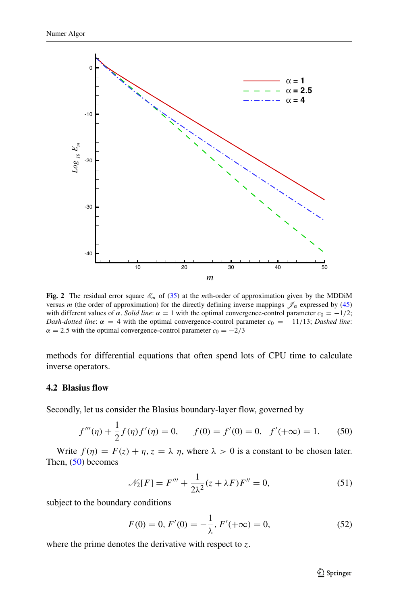<span id="page-18-1"></span>

**Fig. 2** The residual error square  $\mathcal{E}_m$  of [\(35\)](#page-14-0) at the *m*th-order of approximation given by the MDDiM versus *m* (the order of approximation) for the directly defining inverse mappings  $\mathcal{J}_\alpha$  expressed by [\(45\)](#page-15-2) with different values of *α*. *Solid line*:  $\alpha = 1$  with the optimal convergence-control parameter  $c_0 = -1/2$ ; *Dash-dotted line*:  $\alpha = 4$  with the optimal convergence-control parameter  $c_0 = -11/13$ ; *Dashed line*:  $\alpha = 2.5$  with the optimal convergence-control parameter  $c_0 = -2/3$ 

methods for differential equations that often spend lots of CPU time to calculate inverse operators.

#### <span id="page-18-0"></span>**4.2 Blasius flow**

Secondly, let us consider the Blasius boundary-layer flow, governed by

<span id="page-18-2"></span>
$$
f'''(\eta) + \frac{1}{2}f(\eta)f'(\eta) = 0, \qquad f(0) = f'(0) = 0, \quad f'(+\infty) = 1.
$$
 (50)

Write  $f(\eta) = F(z) + \eta$ ,  $z = \lambda \eta$ , where  $\lambda > 0$  is a constant to be chosen later. Then,  $(50)$  becomes

$$
\mathcal{N}_2[F] = F''' + \frac{1}{2\lambda^2} (z + \lambda F) F'' = 0,\tag{51}
$$

subject to the boundary conditions

<span id="page-18-3"></span>
$$
F(0) = 0, F'(0) = -\frac{1}{\lambda}, F'(+\infty) = 0,
$$
\n(52)

where the prime denotes the derivative with respect to *z*.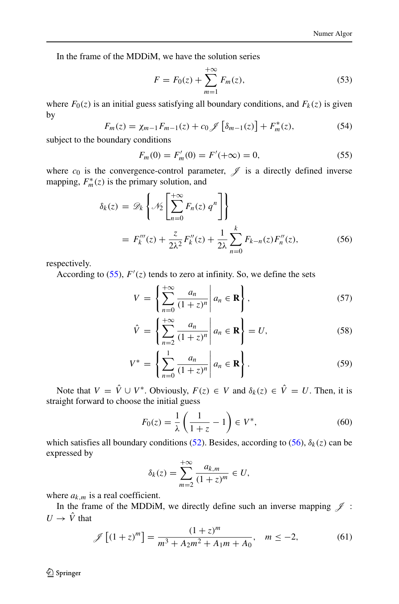In the frame of the MDDiM, we have the solution series

<span id="page-19-3"></span>
$$
F = F_0(z) + \sum_{m=1}^{+\infty} F_m(z),
$$
\n(53)

where  $F_0(z)$  is an initial guess satisfying all boundary conditions, and  $F_k(z)$  is given by

$$
F_m(z) = \chi_{m-1} F_{m-1}(z) + c_0 \mathcal{J} \left[ \delta_{m-1}(z) \right] + F_m^*(z), \tag{54}
$$

subject to the boundary conditions

<span id="page-19-0"></span>
$$
F_m(0) = F'_m(0) = F'(+\infty) = 0,
$$
\n(55)

where  $c_0$  is the convergence-control parameter,  $\mathscr J$  is a directly defined inverse mapping,  $F_m^*(z)$  is the primary solution, and

<span id="page-19-1"></span>
$$
\delta_k(z) = \mathscr{D}_k \left\{ \mathscr{N}_2 \left[ \sum_{n=0}^{+\infty} F_n(z) \, q^n \right] \right\}
$$
\n
$$
= F_k'''(z) + \frac{z}{2\lambda^2} F_k''(z) + \frac{1}{2\lambda} \sum_{n=0}^k F_{k-n}(z) F_n''(z), \tag{56}
$$

respectively.

According to  $(55)$ ,  $F'(z)$  tends to zero at infinity. So, we define the sets

$$
V = \left\{ \sum_{n=0}^{+\infty} \frac{a_n}{(1+z)^n} \middle| a_n \in \mathbf{R} \right\},\tag{57}
$$

$$
\hat{V} = \left\{ \sum_{n=2}^{+\infty} \frac{a_n}{(1+z)^n} \middle| a_n \in \mathbf{R} \right\} = U,
$$
\n(58)

$$
V^* = \left\{ \sum_{n=0}^1 \frac{a_n}{(1+z)^n} \middle| a_n \in \mathbf{R} \right\}.
$$
 (59)

Note that  $V = \hat{V} \cup V^*$ . Obviously,  $F(z) \in V$  and  $\delta_k(z) \in \hat{V} = U$ . Then, it is straight forward to choose the initial guess

$$
F_0(z) = \frac{1}{\lambda} \left( \frac{1}{1+z} - 1 \right) \in V^*,\tag{60}
$$

which satisfies all boundary conditions [\(52\)](#page-18-3). Besides, according to [\(56\)](#page-19-1),  $\delta_k(z)$  can be expressed by

$$
\delta_k(z) = \sum_{m=2}^{+\infty} \frac{a_{k,m}}{(1+z)^m} \in U,
$$

where  $a_{k,m}$  is a real coefficient.

In the frame of the MDDiM, we directly define such an inverse mapping  $\mathscr J$ :  $U \rightarrow \hat{V}$  that

<span id="page-19-2"></span>
$$
\mathcal{J}\left[ (1+z)^m \right] = \frac{(1+z)^m}{m^3 + A_2 m^2 + A_1 m + A_0}, \quad m \le -2,\tag{61}
$$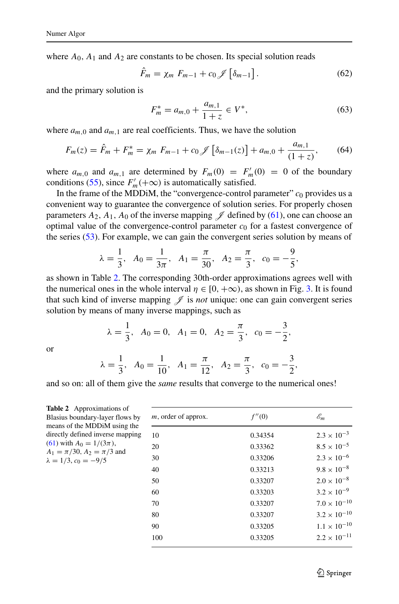where  $A_0$ ,  $A_1$  and  $A_2$  are constants to be chosen. Its special solution reads

$$
\hat{F}_m = \chi_m \ F_{m-1} + c_0 \mathcal{J} \left[ \delta_{m-1} \right]. \tag{62}
$$

and the primary solution is

$$
F_m^* = a_{m,0} + \frac{a_{m,1}}{1+z} \in V^*,\tag{63}
$$

where  $a_{m,0}$  and  $a_{m,1}$  are real coefficients. Thus, we have the solution

$$
F_m(z) = \hat{F}_m + F_m^* = \chi_m \ F_{m-1} + c_0 \mathcal{J} \left[ \delta_{m-1}(z) \right] + a_{m,0} + \frac{a_{m,1}}{(1+z)},\tag{64}
$$

where  $a_{m,0}$  and  $a_{m,1}$  are determined by  $F_m(0) = F'_m(0) = 0$  of the boundary conditions [\(55\)](#page-19-0), since  $F'_m(+\infty)$  is automatically satisfied.

In the frame of the MDDiM, the "convergence-control parameter"  $c_0$  provides us a convenient way to guarantee the convergence of solution series. For properly chosen parameters  $A_2$ ,  $A_1$ ,  $A_0$  of the inverse mapping  $\mathscr J$  defined by [\(61\)](#page-19-2), one can choose an optimal value of the convergence-control parameter  $c_0$  for a fastest convergence of the series [\(53\)](#page-19-3). For example, we can gain the convergent series solution by means of

$$
\lambda = \frac{1}{3}
$$
,  $A_0 = \frac{1}{3\pi}$ ,  $A_1 = \frac{\pi}{30}$ ,  $A_2 = \frac{\pi}{3}$ ,  $c_0 = -\frac{9}{5}$ ,

as shown in Table [2.](#page-20-0) The corresponding 30th-order approximations agrees well with the numerical ones in the whole interval  $\eta \in [0, +\infty)$ , as shown in Fig. [3.](#page-21-0) It is found that such kind of inverse mapping  $\mathcal I$  is *not* unique: one can gain convergent series solution by means of many inverse mappings, such as

$$
\lambda = \frac{1}{3}
$$
,  $A_0 = 0$ ,  $A_1 = 0$ ,  $A_2 = \frac{\pi}{3}$ ,  $c_0 = -\frac{3}{2}$ ,

or

$$
\lambda = \frac{1}{3}, \quad A_0 = \frac{1}{10}, \quad A_1 = \frac{\pi}{12}, \quad A_2 = \frac{\pi}{3}, \quad c_0 = -\frac{3}{2},
$$

and so on: all of them give the *same* results that converge to the numerical ones!

<span id="page-20-0"></span>

| <b>Table 2</b> Approximations of<br>Blasius boundary-layer flows by<br>means of the MDD iM using the<br>directly defined inverse mapping<br>(61) with $A_0 = 1/(3\pi)$ ,<br>$A_1 = \pi/30$ , $A_2 = \pi/3$ and<br>$\lambda = 1/3$ , $c_0 = -9/5$ | $m$ , order of approx. | f''(0)  | $\mathscr{E}_m$       |
|--------------------------------------------------------------------------------------------------------------------------------------------------------------------------------------------------------------------------------------------------|------------------------|---------|-----------------------|
|                                                                                                                                                                                                                                                  | 10                     | 0.34354 | $2.3 \times 10^{-3}$  |
|                                                                                                                                                                                                                                                  | 20                     | 0.33362 | $8.5 \times 10^{-5}$  |
|                                                                                                                                                                                                                                                  | 30                     | 0.33206 | $2.3 \times 10^{-6}$  |
|                                                                                                                                                                                                                                                  | 40                     | 0.33213 | $9.8 \times 10^{-8}$  |
|                                                                                                                                                                                                                                                  | 50                     | 0.33207 | $2.0 \times 10^{-8}$  |
|                                                                                                                                                                                                                                                  | 60                     | 0.33203 | $3.2 \times 10^{-9}$  |
|                                                                                                                                                                                                                                                  | 70                     | 0.33207 | $7.0 \times 10^{-10}$ |
|                                                                                                                                                                                                                                                  | 80                     | 0.33207 | $3.2 \times 10^{-10}$ |
|                                                                                                                                                                                                                                                  | 90                     | 0.33205 | $1.1 \times 10^{-10}$ |
|                                                                                                                                                                                                                                                  | 100                    | 0.33205 | $2.2 \times 10^{-11}$ |
|                                                                                                                                                                                                                                                  |                        |         |                       |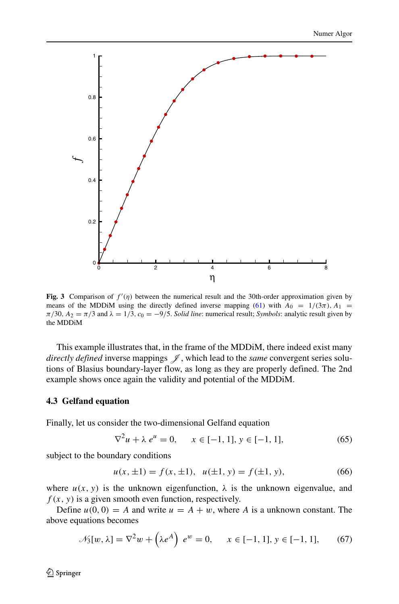<span id="page-21-0"></span>

**Fig. 3** Comparison of  $f'(\eta)$  between the numerical result and the 30th-order approximation given by means of the MDDiM using the directly defined inverse mapping [\(61\)](#page-19-2) with  $A_0 = 1/(3\pi)$ ,  $A_1 =$  $\pi/30$ ,  $A_2 = \pi/3$  and  $\lambda = 1/3$ ,  $c_0 = -9/5$ . *Solid line*: numerical result; *Symbols*: analytic result given by the MDDiM

This example illustrates that, in the frame of the MDDiM, there indeed exist many *directly defined* inverse mappings  $\mathcal{J}$ , which lead to the *same* convergent series solutions of Blasius boundary-layer flow, as long as they are properly defined. The 2nd example shows once again the validity and potential of the MDDiM.

### **4.3 Gelfand equation**

Finally, let us consider the two-dimensional Gelfand equation

<span id="page-21-2"></span>
$$
\nabla^2 u + \lambda e^u = 0, \quad x \in [-1, 1], y \in [-1, 1], \tag{65}
$$

subject to the boundary conditions

<span id="page-21-3"></span>
$$
u(x, \pm 1) = f(x, \pm 1), \ \ u(\pm 1, y) = f(\pm 1, y), \tag{66}
$$

where  $u(x, y)$  is the unknown eigenfunction,  $\lambda$  is the unknown eigenvalue, and  $f(x, y)$  is a given smooth even function, respectively.

Define  $u(0, 0) = A$  and write  $u = A + w$ , where A is a unknown constant. The above equations becomes

<span id="page-21-1"></span>
$$
\mathcal{N}_3[w, \lambda] = \nabla^2 w + \left(\lambda e^A\right) e^w = 0, \quad x \in [-1, 1], y \in [-1, 1], \quad (67)
$$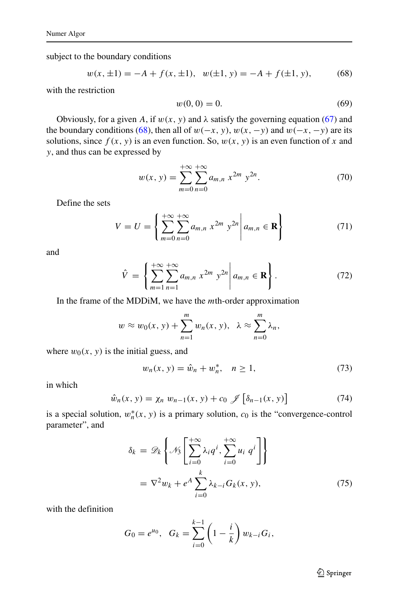subject to the boundary conditions

<span id="page-22-0"></span>
$$
w(x, \pm 1) = -A + f(x, \pm 1), \ \ w(\pm 1, y) = -A + f(\pm 1, y), \tag{68}
$$

with the restriction

<span id="page-22-3"></span>
$$
w(0,0) = 0.\t(69)
$$

Obviously, for a given A, if  $w(x, y)$  and  $\lambda$  satisfy the governing equation [\(67\)](#page-21-1) and the boundary conditions [\(68\)](#page-22-0), then all of  $w(-x, y)$ ,  $w(x, -y)$  and  $w(-x, -y)$  are its solutions, since  $f(x, y)$  is an even function. So,  $w(x, y)$  is an even function of x and *y*, and thus can be expressed by

$$
w(x, y) = \sum_{m=0}^{+\infty} \sum_{n=0}^{+\infty} a_{m,n} x^{2m} y^{2n}.
$$
 (70)

Define the sets

<span id="page-22-1"></span>
$$
V = U = \left\{ \sum_{m=0}^{+\infty} \sum_{n=0}^{+\infty} a_{m,n} x^{2m} y^{2n} \middle| a_{m,n} \in \mathbf{R} \right\}
$$
(71)

and

<span id="page-22-2"></span>
$$
\hat{V} = \left\{ \sum_{m=1}^{+\infty} \sum_{n=1}^{+\infty} a_{m,n} \ x^{2m} \ y^{2n} \middle| a_{m,n} \in \mathbf{R} \right\}.
$$
 (72)

In the frame of the MDDiM, we have the *m*th-order approximation

$$
w \approx w_0(x, y) + \sum_{n=1}^m w_n(x, y), \quad \lambda \approx \sum_{n=0}^m \lambda_n,
$$

where  $w_0(x, y)$  is the initial guess, and

$$
w_n(x, y) = \hat{w}_n + w_n^*, \quad n \ge 1,
$$
 (73)

in which

$$
\hat{w}_n(x, y) = \chi_n w_{n-1}(x, y) + c_0 \mathcal{J} \left[ \delta_{n-1}(x, y) \right]
$$
 (74)

is a special solution,  $w_n^*(x, y)$  is a primary solution,  $c_0$  is the "convergence-control parameter", and

$$
\delta_k = \mathscr{D}_k \left\{ \mathscr{N}_3 \left[ \sum_{i=0}^{+\infty} \lambda_i q^i, \sum_{i=0}^{+\infty} u_i q^i \right] \right\}
$$

$$
= \nabla^2 w_k + e^A \sum_{i=0}^k \lambda_{k-i} G_k(x, y), \qquad (75)
$$

with the definition

$$
G_0 = e^{u_0}, \quad G_k = \sum_{i=0}^{k-1} \left(1 - \frac{i}{k}\right) w_{k-i} G_i,
$$

2 Springer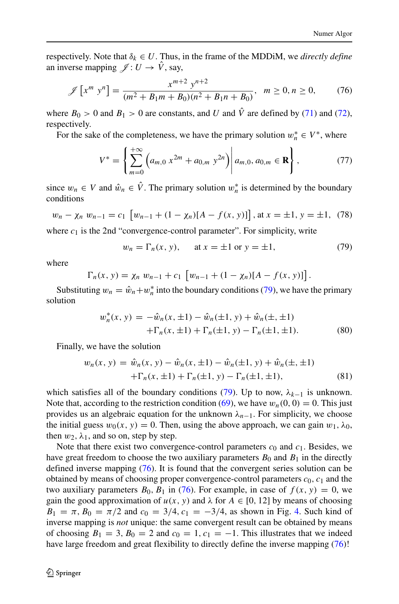respectively. Note that  $\delta_k \in U$ . Thus, in the frame of the MDDiM, we *directly define* an inverse mapping  $\mathscr{J} : U \to \hat{V}$ , say,

<span id="page-23-1"></span>
$$
\mathscr{J}\left[x^m \; y^n\right] = \frac{x^{m+2} \; y^{n+2}}{(m^2 + B_1 m + B_0)(n^2 + B_1 n + B_0)}, \quad m \ge 0, n \ge 0,
$$
 (76)

where  $B_0 > 0$  and  $B_1 > 0$  are constants, and *U* and  $\hat{V}$  are defined by [\(71\)](#page-22-1) and [\(72\)](#page-22-2), respectively.

For the sake of the completeness, we have the primary solution  $w_n^* \in V^*$ , where

$$
V^* = \left\{ \sum_{m=0}^{+\infty} \left( a_{m,0} \ x^{2m} + a_{0,m} \ y^{2n} \right) \middle| a_{m,0}, a_{0,m} \in \mathbf{R} \right\},\tag{77}
$$

since  $w_n \in V$  and  $\hat{w}_n \in V$ . The primary solution  $w_n^*$  is determined by the boundary conditions

$$
w_n - \chi_n w_{n-1} = c_1 \left[ w_{n-1} + (1 - \chi_n)[A - f(x, y)] \right], \text{at } x = \pm 1, y = \pm 1, (78)
$$

where  $c_1$  is the 2nd "convergence-control parameter". For simplicity, write

<span id="page-23-0"></span>
$$
w_n = \Gamma_n(x, y), \quad \text{at } x = \pm 1 \text{ or } y = \pm 1,
$$
 (79)

where

$$
\Gamma_n(x, y) = \chi_n w_{n-1} + c_1 \left[ w_{n-1} + (1 - \chi_n)[A - f(x, y)] \right].
$$

Substituting  $w_n = \hat{w}_n + w_n^*$  into the boundary conditions [\(79\)](#page-23-0), we have the primary solution

$$
w_n^*(x, y) = -\hat{w}_n(x, \pm 1) - \hat{w}_n(\pm 1, y) + \hat{w}_n(\pm, \pm 1)
$$
  
 
$$
+ \Gamma_n(x, \pm 1) + \Gamma_n(\pm 1, y) - \Gamma_n(\pm 1, \pm 1).
$$
 (80)

Finally, we have the solution

$$
w_n(x, y) = \hat{w}_n(x, y) - \hat{w}_n(x, \pm 1) - \hat{w}_n(\pm 1, y) + \hat{w}_n(\pm, \pm 1)
$$
  
+
$$
\Gamma_n(x, \pm 1) + \Gamma_n(\pm 1, y) - \Gamma_n(\pm 1, \pm 1),
$$
(81)

which satisfies all of the boundary conditions [\(79\)](#page-23-0). Up to now,  $\lambda_{k-1}$  is unknown. Note that, according to the restriction condition [\(69\)](#page-22-3), we have  $w_n(0, 0) = 0$ . This just provides us an algebraic equation for the unknown  $\lambda_{n-1}$ . For simplicity, we choose the initial guess  $w_0(x, y) = 0$ . Then, using the above approach, we can gain  $w_1, \lambda_0$ , then  $w_2$ ,  $\lambda_1$ , and so on, step by step.

Note that there exist two convergence-control parameters  $c_0$  and  $c_1$ . Besides, we have great freedom to choose the two auxiliary parameters  $B_0$  and  $B_1$  in the directly defined inverse mapping [\(76\)](#page-23-1). It is found that the convergent series solution can be obtained by means of choosing proper convergence-control parameters  $c_0$ ,  $c_1$  and the two auxiliary parameters  $B_0$ ,  $B_1$  in [\(76\)](#page-23-1). For example, in case of  $f(x, y) = 0$ , we gain the good approximation of  $u(x, y)$  and  $\lambda$  for  $A \in [0, 12]$  by means of choosing  $B_1 = \pi$ ,  $B_0 = \pi/2$  and  $c_0 = 3/4$ ,  $c_1 = -3/4$ , as shown in Fig. [4.](#page-24-0) Such kind of inverse mapping is *not* unique: the same convergent result can be obtained by means of choosing  $B_1 = 3$ ,  $B_0 = 2$  and  $c_0 = 1$ ,  $c_1 = -1$ . This illustrates that we indeed have large freedom and great flexibility to directly define the inverse mapping  $(76)!$  $(76)!$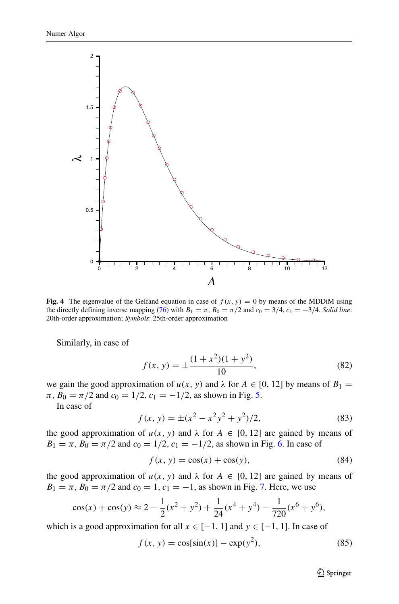<span id="page-24-0"></span>

**Fig. 4** The eigenvalue of the Gelfand equation in case of  $f(x, y) = 0$  by means of the MDDiM using the directly defining inverse mapping [\(76\)](#page-23-1) with  $B_1 = \pi$ ,  $B_0 = \pi/2$  and  $c_0 = 3/4$ ,  $c_1 = -3/4$ . *Solid line*: 20th-order approximation; *Symbols*: 25th-order approximation

Similarly, in case of

$$
f(x, y) = \pm \frac{(1 + x^2)(1 + y^2)}{10},
$$
\n(82)

we gain the good approximation of  $u(x, y)$  and  $\lambda$  for  $A \in [0, 12]$  by means of  $B_1 =$  $\pi$ ,  $B_0 = \pi/2$  and  $c_0 = 1/2$ ,  $c_1 = -1/2$ , as shown in Fig. [5.](#page-25-0)

In case of

$$
f(x, y) = \pm (x^2 - x^2y^2 + y^2)/2,
$$
 (83)

the good approximation of  $u(x, y)$  and  $\lambda$  for  $A \in [0, 12]$  are gained by means of  $B_1 = \pi$ ,  $B_0 = \pi/2$  and  $c_0 = 1/2$ ,  $c_1 = -1/2$ , as shown in Fig. [6.](#page-26-0) In case of

$$
f(x, y) = \cos(x) + \cos(y),\tag{84}
$$

the good approximation of  $u(x, y)$  and  $\lambda$  for  $A \in [0, 12]$  are gained by means of  $B_1 = \pi$ ,  $B_0 = \pi/2$  and  $c_0 = 1$ ,  $c_1 = -1$ , as shown in Fig. [7.](#page-27-1) Here, we use

$$
\cos(x) + \cos(y) \approx 2 - \frac{1}{2}(x^2 + y^2) + \frac{1}{24}(x^4 + y^4) - \frac{1}{720}(x^6 + y^6),
$$

which is a good approximation for all  $x \in [-1, 1]$  and  $y \in [-1, 1]$ . In case of

$$
f(x, y) = \cos[\sin(x)] - \exp(y^2),
$$
 (85)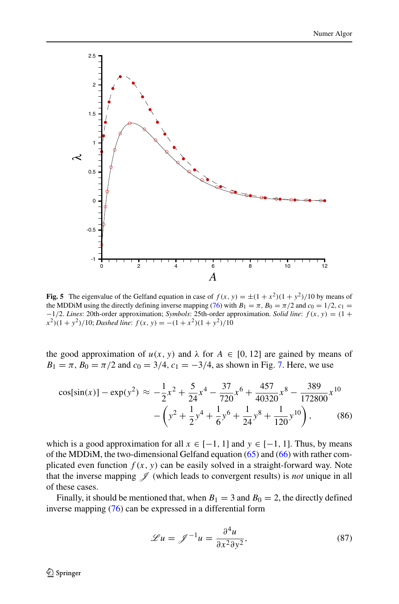<span id="page-25-0"></span>

**Fig. 5** The eigenvalue of the Gelfand equation in case of  $f(x, y) = \pm (1 + x^2)(1 + y^2)/10$  by means of the MDDiM using the directly defining inverse mapping [\(76\)](#page-23-1) with  $B_1 = \pi$ ,  $B_0 = \pi/2$  and  $c_0 = 1/2$ ,  $c_1 =$ −1*/*2. *Lines*: 20th-order approximation; *Symbols*: 25th-order approximation. *Solid line*: *f (x, y)* = *(*1 +  $(x^2)(1 + y^2)/10$ ; *Dashed line*:  $f(x, y) = -(1 + x^2)(1 + y^2)/10$ 

the good approximation of  $u(x, y)$  and  $\lambda$  for  $A \in [0, 12]$  are gained by means of  $B_1 = \pi$ ,  $B_0 = \pi/2$  and  $c_0 = 3/4$ ,  $c_1 = -3/4$ , as shown in Fig. [7.](#page-27-1) Here, we use

$$
\cos[\sin(x)] - \exp(y^2) \approx -\frac{1}{2}x^2 + \frac{5}{24}x^4 - \frac{37}{720}x^6 + \frac{457}{40320}x^8 - \frac{389}{172800}x^{10} - \left(y^2 + \frac{1}{2}y^4 + \frac{1}{6}y^6 + \frac{1}{24}y^8 + \frac{1}{120}y^{10}\right),
$$
 (86)

which is a good approximation for all  $x \in [-1, 1]$  and  $y \in [-1, 1]$ . Thus, by means of the MDDiM, the two-dimensional Gelfand equation [\(65\)](#page-21-2) and [\(66\)](#page-21-3) with rather complicated even function  $f(x, y)$  can be easily solved in a straight-forward way. Note that the inverse mapping  $\mathscr J$  (which leads to convergent results) is *not* unique in all of these cases.

Finally, it should be mentioned that, when  $B_1 = 3$  and  $B_0 = 2$ , the directly defined inverse mapping [\(76\)](#page-23-1) can be expressed in a differential form

$$
\mathcal{L}u = \mathcal{J}^{-1}u = \frac{\partial^4 u}{\partial x^2 \partial y^2},\tag{87}
$$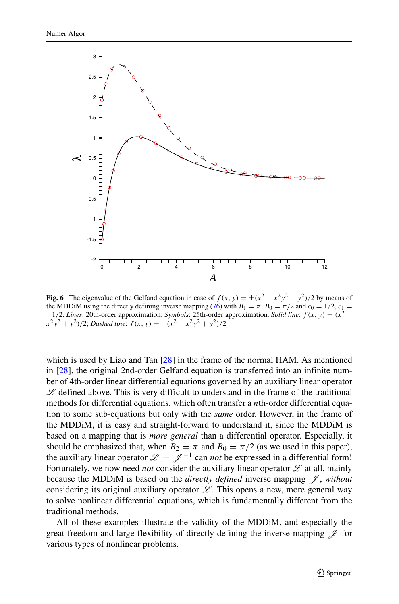<span id="page-26-0"></span>

**Fig. 6** The eigenvalue of the Gelfand equation in case of  $f(x, y) = \pm (x^2 - x^2y^2 + y^2)/2$  by means of the MDDiM using the directly defining inverse mapping [\(76\)](#page-23-1) with  $B_1 = \pi$ ,  $B_0 = \pi/2$  and  $c_0 = 1/2$ ,  $c_1 =$ <sup>−</sup>1*/*2. *Lines*: 20th-order approximation; *Symbols*: 25th-order approximation. *Solid line*: *f (x, y)* <sup>=</sup> *(x*<sup>2</sup> <sup>−</sup>  $(x^{2}y^{2} + y^{2})/2$ ; *Dashed line*:  $f(x, y) = -(x^{2} - x^{2}y^{2} + y^{2})/2$ 

which is used by Liao and Tan [\[28\]](#page-31-5) in the frame of the normal HAM. As mentioned in [\[28\]](#page-31-5), the original 2nd-order Gelfand equation is transferred into an infinite number of 4th-order linear differential equations governed by an auxiliary linear operator  $\mathscr L$  defined above. This is very difficult to understand in the frame of the traditional methods for differential equations, which often transfer a *n*th-order differential equation to some sub-equations but only with the *same* order. However, in the frame of the MDDiM, it is easy and straight-forward to understand it, since the MDDiM is based on a mapping that is *more general* than a differential operator. Especially, it should be emphasized that, when  $B_2 = \pi$  and  $B_0 = \pi/2$  (as we used in this paper), the auxiliary linear operator  $\mathcal{L} = \mathcal{I}^{-1}$  can *not* be expressed in a differential form! Fortunately, we now need *not* consider the auxiliary linear operator  $\mathscr L$  at all, mainly because the MDDiM is based on the *directly defined* inverse mapping J , *without* considering its original auxiliary operator  $\mathscr{L}$ . This opens a new, more general way to solve nonlinear differential equations, which is fundamentally different from the traditional methods.

All of these examples illustrate the validity of the MDDiM, and especially the great freedom and large flexibility of directly defining the inverse mapping  $\mathscr J$  for various types of nonlinear problems.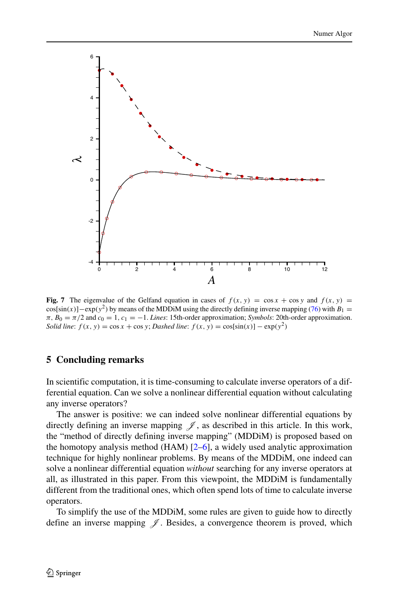<span id="page-27-1"></span>

**Fig. 7** The eigenvalue of the Gelfand equation in cases of  $f(x, y) = \cos x + \cos y$  and  $f(x, y) =$  $cos[sin(x)]-exp(y^2)$  by means of the MDDiM using the directly defining inverse mapping [\(76\)](#page-23-1) with  $B_1 =$  $\pi$ ,  $B_0 = \pi/2$  and  $c_0 = 1$ ,  $c_1 = -1$ . *Lines*: 15th-order approximation; *Symbols*: 20th-order approximation. *Solid line*:  $f(x, y) = \cos x + \cos y$ ; *Dashed line*:  $f(x, y) = \cos[\sin(x)] - \exp(y^2)$ 

### <span id="page-27-0"></span>**5 Concluding remarks**

In scientific computation, it is time-consuming to calculate inverse operators of a differential equation. Can we solve a nonlinear differential equation without calculating any inverse operators?

The answer is positive: we can indeed solve nonlinear differential equations by directly defining an inverse mapping  $\mathscr{J}$ , as described in this article. In this work, the "method of directly defining inverse mapping" (MDDiM) is proposed based on the homotopy analysis method  $(HAM)$  [\[2](#page-30-1)[–6\]](#page-30-2), a widely used analytic approximation technique for highly nonlinear problems. By means of the MDDiM, one indeed can solve a nonlinear differential equation *without* searching for any inverse operators at all, as illustrated in this paper. From this viewpoint, the MDDiM is fundamentally different from the traditional ones, which often spend lots of time to calculate inverse operators.

To simplify the use of the MDDiM, some rules are given to guide how to directly define an inverse mapping  $\mathscr J$ . Besides, a convergence theorem is proved, which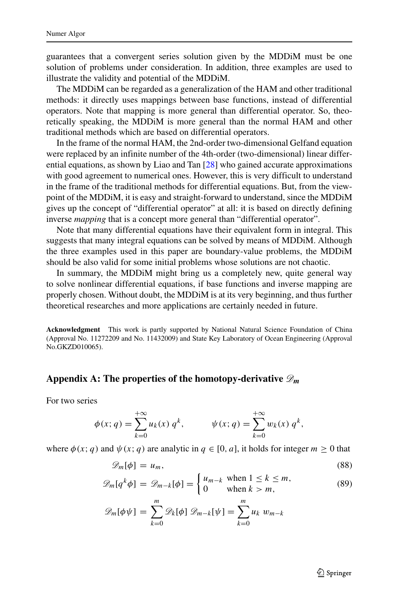guarantees that a convergent series solution given by the MDDiM must be one solution of problems under consideration. In addition, three examples are used to illustrate the validity and potential of the MDDiM.

The MDDiM can be regarded as a generalization of the HAM and other traditional methods: it directly uses mappings between base functions, instead of differential operators. Note that mapping is more general than differential operator. So, theoretically speaking, the MDDiM is more general than the normal HAM and other traditional methods which are based on differential operators.

In the frame of the normal HAM, the 2nd-order two-dimensional Gelfand equation were replaced by an infinite number of the 4th-order (two-dimensional) linear differential equations, as shown by Liao and Tan [\[28\]](#page-31-5) who gained accurate approximations with good agreement to numerical ones. However, this is very difficult to understand in the frame of the traditional methods for differential equations. But, from the viewpoint of the MDDiM, it is easy and straight-forward to understand, since the MDDiM gives up the concept of "differential operator" at all: it is based on directly defining inverse *mapping* that is a concept more general than "differential operator".

Note that many differential equations have their equivalent form in integral. This suggests that many integral equations can be solved by means of MDDiM. Although the three examples used in this paper are boundary-value problems, the MDDiM should be also valid for some initial problems whose solutions are not chaotic.

In summary, the MDDiM might bring us a completely new, quite general way to solve nonlinear differential equations, if base functions and inverse mapping are properly chosen. Without doubt, the MDDiM is at its very beginning, and thus further theoretical researches and more applications are certainly needed in future.

**Acknowledgment** This work is partly supported by National Natural Science Foundation of China (Approval No. 11272209 and No. 11432009) and State Key Laboratory of Ocean Engineering (Approval No.GKZD010065).

## Appendix A: The properties of the homotopy-derivative  $\mathscr{D}_m$

For two series

$$
\phi(x; q) = \sum_{k=0}^{+\infty} u_k(x) q^k, \qquad \psi(x; q) = \sum_{k=0}^{+\infty} w_k(x) q^k,
$$

where  $\phi(x; q)$  and  $\psi(x; q)$  are analytic in  $q \in [0, a]$ , it holds for integer  $m \ge 0$  that

$$
\mathscr{D}_m[\phi] = u_m,\tag{88}
$$

$$
\mathscr{D}_m[q^k \phi] = \mathscr{D}_{m-k}[\phi] = \begin{cases} u_{m-k} & \text{when } 1 \le k \le m, \\ 0 & \text{when } k > m, \end{cases}
$$
 (89)

$$
\mathscr{D}_m[\phi\psi] = \sum_{k=0}^m \mathscr{D}_k[\phi] \mathscr{D}_{m-k}[\psi] = \sum_{k=0}^m u_k w_{m-k}
$$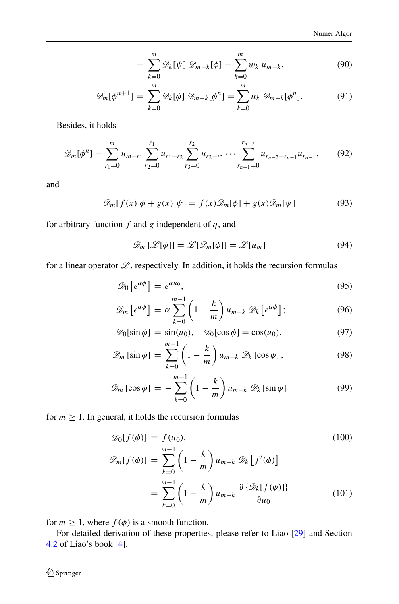$$
= \sum_{k=0}^{m} \mathscr{D}_k[\psi] \mathscr{D}_{m-k}[\phi] = \sum_{k=0}^{m} w_k u_{m-k}, \qquad (90)
$$

$$
\mathscr{D}_m[\phi^{n+1}] = \sum_{k=0}^m \mathscr{D}_k[\phi] \mathscr{D}_{m-k}[\phi^n] = \sum_{k=0}^m u_k \mathscr{D}_{m-k}[\phi^n]. \tag{91}
$$

Besides, it holds

$$
\mathscr{D}_m[\phi^n] = \sum_{r_1=0}^m u_{m-r_1} \sum_{r_2=0}^{r_1} u_{r_1-r_2} \sum_{r_3=0}^{r_2} u_{r_2-r_3} \cdots \sum_{r_{n-1}=0}^{r_{n-2}} u_{r_{n-2}-r_{n-1}} u_{r_{n-1}},
$$
(92)

and

$$
\mathcal{D}_m[f(x)\,\phi + g(x)\,\psi] = f(x)\mathcal{D}_m[\phi] + g(x)\mathcal{D}_m[\psi] \tag{93}
$$

for arbitrary function *f* and *g* independent of *q*, and

$$
\mathscr{D}_m\left[\mathscr{L}[\phi]\right] = \mathscr{L}[\mathscr{D}_m[\phi]] = \mathscr{L}[u_m] \tag{94}
$$

for a linear operator  $\mathscr{L}$ , respectively. In addition, it holds the recursion formulas

$$
\mathscr{D}_0\left[e^{\alpha\phi}\right] = e^{\alpha u_0},\tag{95}
$$

$$
\mathscr{D}_m\left[e^{\alpha\phi}\right] = \alpha \sum_{k=0}^{m-1} \left(1 - \frac{k}{m}\right) u_{m-k} \mathscr{D}_k\left[e^{\alpha\phi}\right];\tag{96}
$$

$$
\mathcal{D}_0[\sin \phi] = \sin(u_0), \quad \mathcal{D}_0[\cos \phi] = \cos(u_0), \tag{97}
$$

$$
\mathscr{D}_m\left[\sin\phi\right] = \sum_{k=0}^{m-1} \left(1 - \frac{k}{m}\right) u_{m-k} \mathscr{D}_k\left[\cos\phi\right],\tag{98}
$$

$$
\mathscr{D}_m\left[\cos\phi\right] = -\sum_{k=0}^{m-1} \left(1 - \frac{k}{m}\right) u_{m-k} \mathscr{D}_k\left[\sin\phi\right] \tag{99}
$$

for  $m \geq 1$ . In general, it holds the recursion formulas

$$
\mathscr{D}_0[f(\phi)] = f(u_0),\tag{100}
$$

$$
\mathcal{D}_m[f(\phi)] = \sum_{k=0}^{m-1} \left(1 - \frac{k}{m}\right) u_{m-k} \mathcal{D}_k[f'(\phi)]
$$

$$
= \sum_{k=0}^{m-1} \left(1 - \frac{k}{m}\right) u_{m-k} \frac{\partial {\{\mathcal{D}_k[f(\phi)]\}}}{\partial u_0}
$$
(101)

for  $m \geq 1$ , where  $f(\phi)$  is a smooth function.

For detailed derivation of these properties, please refer to Liao [\[29\]](#page-31-6) and Section [4.2](#page-18-0) of Liao's book [\[4\]](#page-30-5).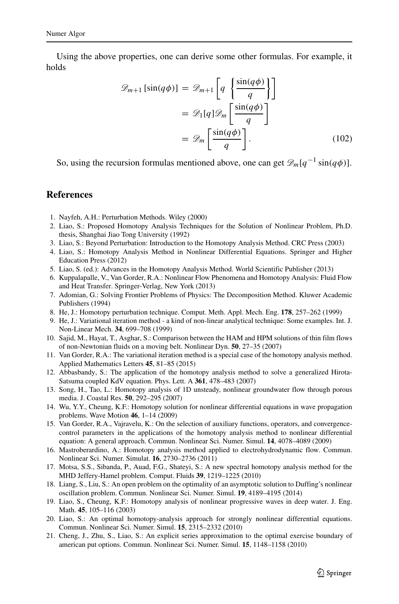Using the above properties, one can derive some other formulas. For example, it holds

$$
\mathcal{D}_{m+1}[\sin(q\phi)] = \mathcal{D}_{m+1}\left[q \left\{\frac{\sin(q\phi)}{q}\right\}\right]
$$

$$
= \mathcal{D}_1[q]\mathcal{D}_m\left[\frac{\sin(q\phi)}{q}\right]
$$

$$
= \mathcal{D}_m\left[\frac{\sin(q\phi)}{q}\right].
$$
(102)

So, using the recursion formulas mentioned above, one can get  $\mathscr{D}_m[q^{-1} \sin(q\phi)]$ .

### **References**

- <span id="page-30-0"></span>1. Nayfeh, A.H.: Perturbation Methods. Wiley (2000)
- <span id="page-30-1"></span>2. Liao, S.: Proposed Homotopy Analysis Techniques for the Solution of Nonlinear Problem, Ph.D. thesis, Shanghai Jiao Tong University (1992)
- <span id="page-30-4"></span>3. Liao, S.: Beyond Perturbation: Introduction to the Homotopy Analysis Method. CRC Press (2003)
- <span id="page-30-5"></span>4. Liao, S.: Homotopy Analysis Method in Nonlinear Differential Equations. Springer and Higher Education Press (2012)
- 5. Liao, S. (ed.): Advances in the Homotopy Analysis Method. World Scientific Publisher (2013)
- <span id="page-30-2"></span>6. Kuppalapalle, V., Van Gorder, R.A.: Nonlinear Flow Phenomena and Homotopy Analysis: Fluid Flow and Heat Transfer. Springer-Verlag, New York (2013)
- <span id="page-30-3"></span>7. Adomian, G.: Solving Frontier Problems of Physics: The Decomposition Method. Kluwer Academic Publishers (1994)
- <span id="page-30-6"></span>8. He, J.: Homotopy perturbation technique. Comput. Meth. Appl. Mech. Eng. **178**, 257–262 (1999)
- <span id="page-30-7"></span>9. He, J.: Variational iteration method - a kind of non-linear analytical technique: Some examples. Int. J. Non-Linear Mech. **34**, 699–708 (1999)
- <span id="page-30-8"></span>10. Sajid, M., Hayat, T., Asghar, S.: Comparison between the HAM and HPM solutions of thin film flows of non-Newtonian fluids on a moving belt. Nonlinear Dyn. **50**, 27–35 (2007)
- <span id="page-30-9"></span>11. Van Gorder, R.A.: The variational iteration method is a special case of the homotopy analysis method. Applied Mathematics Letters **45**, 81–85 (2015)
- <span id="page-30-10"></span>12. Abbasbandy, S.: The application of the homotopy analysis method to solve a generalized Hirota-Satsuma coupled KdV equation. Phys. Lett. A **361**, 478–483 (2007)
- 13. Song, H., Tao, L.: Homotopy analysis of 1D unsteady, nonlinear groundwater flow through porous media. J. Coastal Res. **50**, 292–295 (2007)
- 14. Wu, Y.Y., Cheung, K.F.: Homotopy solution for nonlinear differential equations in wave propagation problems. Wave Motion **46**, 1–14 (2009)
- 15. Van Gorder, R.A., Vajravelu, K.: On the selection of auxiliary functions, operators, and convergencecontrol parameters in the applications of the homotopy analysis method to nonlinear differential equation: A general approach. Commun. Nonlinear Sci. Numer. Simul. **14**, 4078–4089 (2009)
- 16. Mastroberardino, A.: Homotopy analysis method applied to electrohydrodynamic flow. Commun. Nonlinear Sci. Numer. Simulat. **16**, 2730–2736 (2011)
- 17. Motsa, S.S., Sibanda, P., Auad, F.G., Shateyi, S.: A new spectral homotopy analysis method for the MHD Jeffery-Hamel problem. Comput. Fluids **39**, 1219–1225 (2010)
- 18. Liang, S., Liu, S.: An open problem on the optimality of an asymptotic solution to Duffing's nonlinear oscillation problem. Commun. Nonlinear Sci. Numer. Simul. **19**, 4189–4195 (2014)
- 19. Liao, S., Cheung, K.F.: Homotopy analysis of nonlinear progressive waves in deep water. J. Eng. Math. **45**, 105–116 (2003)
- 20. Liao, S.: An optimal homotopy-analysis approach for strongly nonlinear differential equations. Commun. Nonlinear Sci. Numer. Simul. **15**, 2315–2332 (2010)
- 21. Cheng, J., Zhu, S., Liao, S.: An explicit series approximation to the optimal exercise boundary of american put options. Commun. Nonlinear Sci. Numer. Simul. **15**, 1148–1158 (2010)